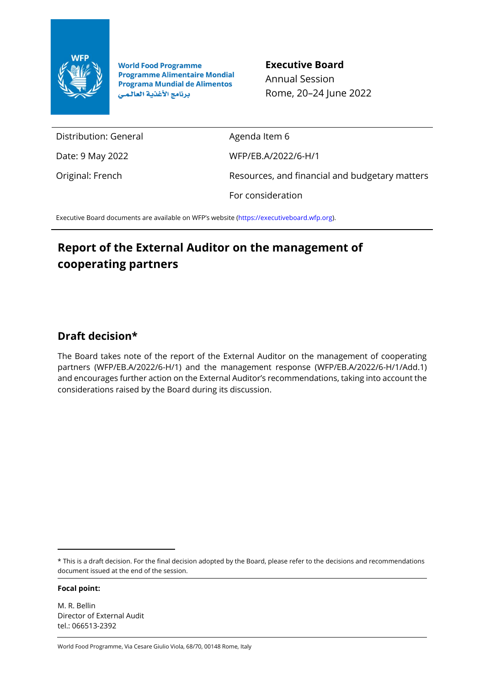

**World Food Programme Programme Alimentaire Mondial Programa Mundial de Alimentos** برنامج الأغذية العالمي

**Executive Board** Annual Session Rome, 20–24 June 2022

Distribution: General

Date: 9 May 2022

Original: French

Agenda Item 6 WFP/EB.A/2022/6-H/1 Resources, and financial and budgetary matters For consideration

Executive Board documents are available on WFP's website [\(https://executiveboard.wfp.org\)](https://executiveboard.wfp.org/).

# **Report of the External Auditor on the management of cooperating partners**

# **Draft decision\***

The Board takes note of the report of the External Auditor on the management of cooperating partners (WFP/EB.A/2022/6-H/1) and the management response (WFP/EB.A/2022/6-H/1/Add.1) and encourages further action on the External Auditor's recommendations, taking into account the considerations raised by the Board during its discussion.

\* This is a draft decision. For the final decision adopted by the Board, please refer to the decisions and recommendations document issued at the end of the session.

**Focal point:**

M. R. Bellin Director of External Audit tel.: 066513-2392

World Food Programme, Via Cesare Giulio Viola, 68/70, 00148 Rome, Italy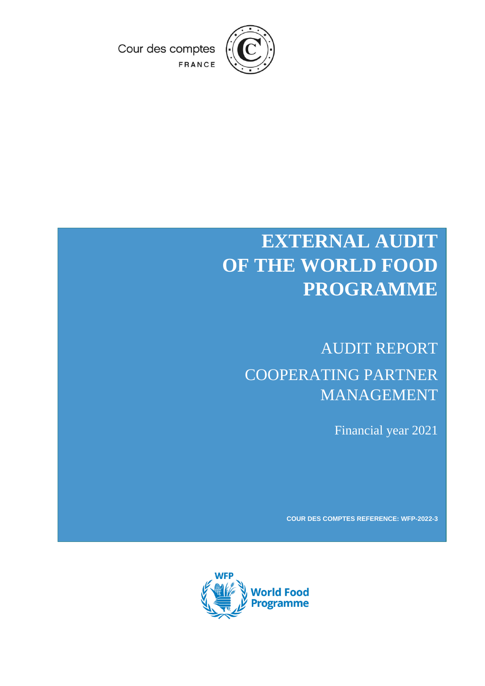

Cour des comptes FRANCE

# **EXTERNAL AUDIT OF THE WORLD FOOD PROGRAMME**

# AUDIT REPORT COOPERATING PARTNER MANAGEMENT

Financial year 2021

**COUR DES COMPTES REFERENCE: WFP-2022-3**

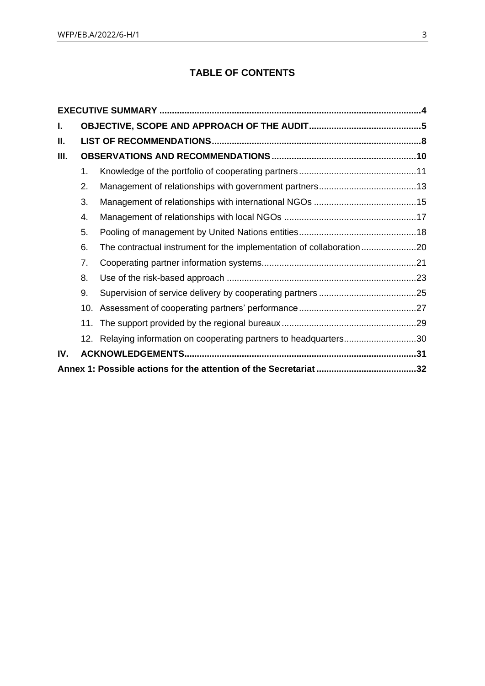# **TABLE OF CONTENTS**

| I.  |     |                                                                       |  |
|-----|-----|-----------------------------------------------------------------------|--|
| II. |     |                                                                       |  |
| Ш.  |     |                                                                       |  |
|     | 1.  |                                                                       |  |
|     | 2.  |                                                                       |  |
|     | 3.  |                                                                       |  |
|     | 4.  |                                                                       |  |
|     | 5.  |                                                                       |  |
|     | 6.  | The contractual instrument for the implementation of collaboration 20 |  |
|     | 7.  |                                                                       |  |
|     | 8.  |                                                                       |  |
|     | 9.  |                                                                       |  |
|     | 10. |                                                                       |  |
|     | 11. |                                                                       |  |
|     | 12. | Relaying information on cooperating partners to headquarters30        |  |
| IV. |     |                                                                       |  |
|     |     |                                                                       |  |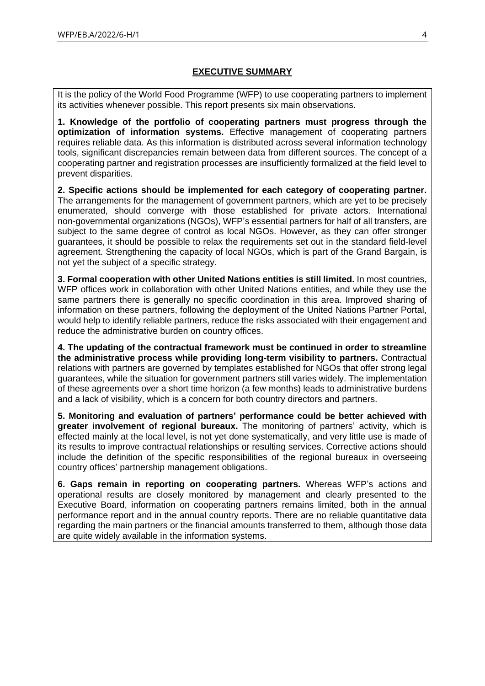# **EXECUTIVE SUMMARY**

<span id="page-3-0"></span>It is the policy of the World Food Programme (WFP) to use cooperating partners to implement its activities whenever possible. This report presents six main observations.

**1. Knowledge of the portfolio of cooperating partners must progress through the optimization of information systems.** Effective management of cooperating partners requires reliable data. As this information is distributed across several information technology tools, significant discrepancies remain between data from different sources. The concept of a cooperating partner and registration processes are insufficiently formalized at the field level to prevent disparities.

**2. Specific actions should be implemented for each category of cooperating partner.** The arrangements for the management of government partners, which are yet to be precisely enumerated, should converge with those established for private actors. International non-governmental organizations (NGOs), WFP's essential partners for half of all transfers, are subject to the same degree of control as local NGOs. However, as they can offer stronger guarantees, it should be possible to relax the requirements set out in the standard field-level agreement. Strengthening the capacity of local NGOs, which is part of the Grand Bargain, is not yet the subject of a specific strategy.

**3. Formal cooperation with other United Nations entities is still limited.** In most countries, WFP offices work in collaboration with other United Nations entities, and while they use the same partners there is generally no specific coordination in this area. Improved sharing of information on these partners, following the deployment of the United Nations Partner Portal, would help to identify reliable partners, reduce the risks associated with their engagement and reduce the administrative burden on country offices.

**4. The updating of the contractual framework must be continued in order to streamline the administrative process while providing long-term visibility to partners.** Contractual relations with partners are governed by templates established for NGOs that offer strong legal guarantees, while the situation for government partners still varies widely. The implementation of these agreements over a short time horizon (a few months) leads to administrative burdens and a lack of visibility, which is a concern for both country directors and partners.

**5. Monitoring and evaluation of partners' performance could be better achieved with greater involvement of regional bureaux.** The monitoring of partners' activity, which is effected mainly at the local level, is not yet done systematically, and very little use is made of its results to improve contractual relationships or resulting services. Corrective actions should include the definition of the specific responsibilities of the regional bureaux in overseeing country offices' partnership management obligations.

**6. Gaps remain in reporting on cooperating partners.** Whereas WFP's actions and operational results are closely monitored by management and clearly presented to the Executive Board, information on cooperating partners remains limited, both in the annual performance report and in the annual country reports. There are no reliable quantitative data regarding the main partners or the financial amounts transferred to them, although those data are quite widely available in the information systems.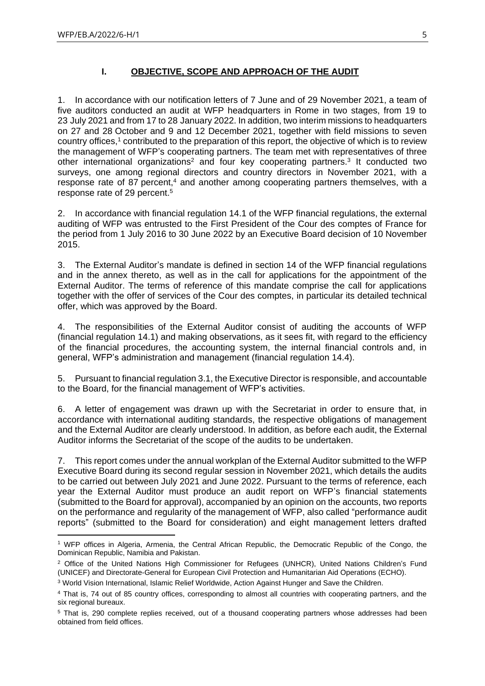### **I. OBJECTIVE, SCOPE AND APPROACH OF THE AUDIT**

<span id="page-4-0"></span>1. In accordance with our notification letters of 7 June and of 29 November 2021, a team of five auditors conducted an audit at WFP headquarters in Rome in two stages, from 19 to 23 July 2021 and from 17 to 28 January 2022. In addition, two interim missions to headquarters on 27 and 28 October and 9 and 12 December 2021, together with field missions to seven country offices,<sup>1</sup> contributed to the preparation of this report, the objective of which is to review the management of WFP's cooperating partners. The team met with representatives of three other international organizations<sup>2</sup> and four key cooperating partners.<sup>3</sup> It conducted two surveys, one among regional directors and country directors in November 2021, with a response rate of 87 percent,<sup>4</sup> and another among cooperating partners themselves, with a response rate of 29 percent.<sup>5</sup>

2. In accordance with financial regulation 14.1 of the WFP financial regulations, the external auditing of WFP was entrusted to the First President of the Cour des comptes of France for the period from 1 July 2016 to 30 June 2022 by an Executive Board decision of 10 November 2015.

3. The External Auditor's mandate is defined in section 14 of the WFP financial regulations and in the annex thereto, as well as in the call for applications for the appointment of the External Auditor. The terms of reference of this mandate comprise the call for applications together with the offer of services of the Cour des comptes, in particular its detailed technical offer, which was approved by the Board.

4. The responsibilities of the External Auditor consist of auditing the accounts of WFP (financial regulation 14.1) and making observations, as it sees fit, with regard to the efficiency of the financial procedures, the accounting system, the internal financial controls and, in general, WFP's administration and management (financial regulation 14.4).

5. Pursuant to financial regulation 3.1, the Executive Director is responsible, and accountable to the Board, for the financial management of WFP's activities.

6. A letter of engagement was drawn up with the Secretariat in order to ensure that, in accordance with international auditing standards, the respective obligations of management and the External Auditor are clearly understood. In addition, as before each audit, the External Auditor informs the Secretariat of the scope of the audits to be undertaken.

7. This report comes under the annual workplan of the External Auditor submitted to the WFP Executive Board during its second regular session in November 2021, which details the audits to be carried out between July 2021 and June 2022. Pursuant to the terms of reference, each year the External Auditor must produce an audit report on WFP's financial statements (submitted to the Board for approval), accompanied by an opinion on the accounts, two reports on the performance and regularity of the management of WFP, also called "performance audit reports" (submitted to the Board for consideration) and eight management letters drafted

<sup>1</sup> WFP offices in Algeria, Armenia, the Central African Republic, the Democratic Republic of the Congo, the Dominican Republic, Namibia and Pakistan.

<sup>&</sup>lt;sup>2</sup> Office of the United Nations High Commissioner for Refugees (UNHCR), United Nations Children's Fund (UNICEF) and Directorate-General for European Civil Protection and Humanitarian Aid Operations (ECHO).

<sup>3</sup> World Vision International, Islamic Relief Worldwide, Action Against Hunger and Save the Children.

<sup>4</sup> That is, 74 out of 85 country offices, corresponding to almost all countries with cooperating partners, and the six regional bureaux.

<sup>5</sup> That is, 290 complete replies received, out of a thousand cooperating partners whose addresses had been obtained from field offices.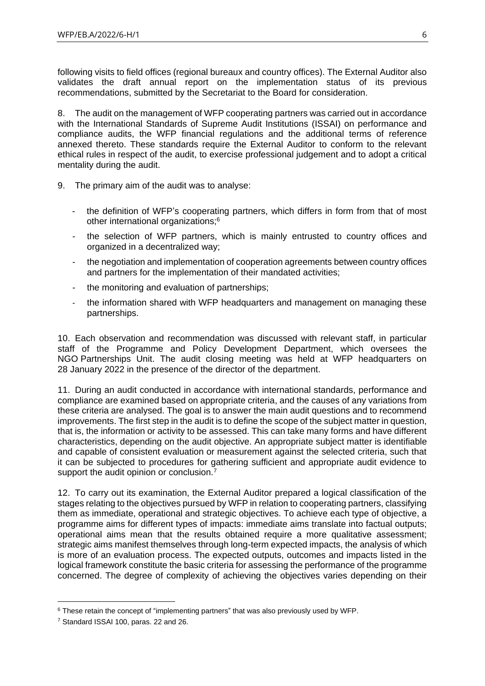following visits to field offices (regional bureaux and country offices). The External Auditor also validates the draft annual report on the implementation status of its previous recommendations, submitted by the Secretariat to the Board for consideration.

8. The audit on the management of WFP cooperating partners was carried out in accordance with the International Standards of Supreme Audit Institutions (ISSAI) on performance and compliance audits, the WFP financial regulations and the additional terms of reference annexed thereto. These standards require the External Auditor to conform to the relevant ethical rules in respect of the audit, to exercise professional judgement and to adopt a critical mentality during the audit.

- 9. The primary aim of the audit was to analyse:
	- the definition of WFP's cooperating partners, which differs in form from that of most other international organizations;<sup>6</sup>
	- the selection of WFP partners, which is mainly entrusted to country offices and organized in a decentralized way;
	- the negotiation and implementation of cooperation agreements between country offices and partners for the implementation of their mandated activities;
	- the monitoring and evaluation of partnerships;
	- the information shared with WFP headquarters and management on managing these partnerships.

10. Each observation and recommendation was discussed with relevant staff, in particular staff of the Programme and Policy Development Department, which oversees the NGO Partnerships Unit. The audit closing meeting was held at WFP headquarters on 28 January 2022 in the presence of the director of the department.

11. During an audit conducted in accordance with international standards, performance and compliance are examined based on appropriate criteria, and the causes of any variations from these criteria are analysed. The goal is to answer the main audit questions and to recommend improvements. The first step in the audit is to define the scope of the subject matter in question, that is, the information or activity to be assessed. This can take many forms and have different characteristics, depending on the audit objective. An appropriate subject matter is identifiable and capable of consistent evaluation or measurement against the selected criteria, such that it can be subjected to procedures for gathering sufficient and appropriate audit evidence to support the audit opinion or conclusion.<sup>7</sup>

12. To carry out its examination, the External Auditor prepared a logical classification of the stages relating to the objectives pursued by WFP in relation to cooperating partners, classifying them as immediate, operational and strategic objectives. To achieve each type of objective, a programme aims for different types of impacts: immediate aims translate into factual outputs; operational aims mean that the results obtained require a more qualitative assessment; strategic aims manifest themselves through long-term expected impacts, the analysis of which is more of an evaluation process. The expected outputs, outcomes and impacts listed in the logical framework constitute the basic criteria for assessing the performance of the programme concerned. The degree of complexity of achieving the objectives varies depending on their

 $6$  These retain the concept of "implementing partners" that was also previously used by WFP.

<sup>7</sup> Standard ISSAI 100, paras. 22 and 26.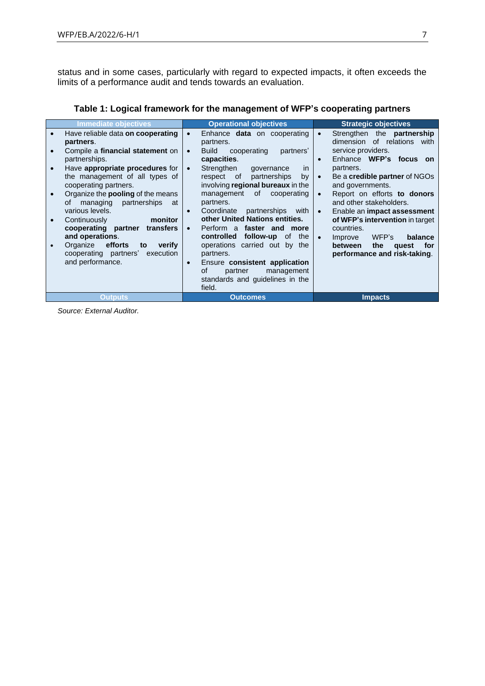status and in some cases, particularly with regard to expected impacts, it often exceeds the limits of a performance audit and tends towards an evaluation.

| Immediate objectives                         | <b>Operational objectives</b>                            | <b>Strategic objectives</b>                     |
|----------------------------------------------|----------------------------------------------------------|-------------------------------------------------|
| Have reliable data on cooperating            | Enhance <b>data</b> on cooperating<br>$\bullet$          | Strengthen the <b>partnership</b><br>$\bullet$  |
| partners.                                    | partners.                                                | dimension of relations with                     |
| Compile a financial statement on             | <b>Build</b><br>cooperating<br>partners'<br>$\bullet$    | service providers.                              |
| partnerships.                                | capacities.                                              | Enhance WFP's focus on<br>$\bullet$             |
| Have appropriate procedures for<br>$\bullet$ | Strengthen<br>governance<br><i>in</i><br>$\bullet$       | partners.                                       |
| the management of all types of               | partnerships<br>respect of<br>by                         | Be a credible partner of NGOs<br>$\bullet$      |
| cooperating partners.                        | involving regional bureaux in the                        | and governments.                                |
| Organize the <b>pooling</b> of the means     | of<br>management<br>cooperating                          | Report on efforts to donors<br>$\bullet$        |
| managing partnerships<br>οf<br>at            | partners.                                                | and other stakeholders.                         |
| various levels.                              | Coordinate<br>partnerships with<br>$\bullet$             | Enable an <b>impact assessment</b><br>$\bullet$ |
| Continuously<br>monitor                      | other United Nations entities.                           | of WFP's intervention in target                 |
| cooperating partner<br>transfers             | Perform a faster and more<br>$\bullet$                   | countries.                                      |
| and operations.                              | controlled<br>follow-up of<br>the                        | WFP's<br>Improve<br>balance<br>$\bullet$        |
| Organize efforts<br>to<br>verify             | operations carried out by the                            | the<br>between<br>for<br>quest                  |
| cooperating partners' execution              | partners.                                                | performance and risk-taking.                    |
| and performance.                             | Ensure consistent application<br>$\bullet$<br>οf         |                                                 |
|                                              | partner<br>management<br>standards and guidelines in the |                                                 |
|                                              | field.                                                   |                                                 |
|                                              | <b>Outcomes</b>                                          |                                                 |
| <b>Outputs</b>                               |                                                          | <b>Impacts</b>                                  |

**Table 1: Logical framework for the management of WFP's cooperating partners**

*Source: External Auditor.*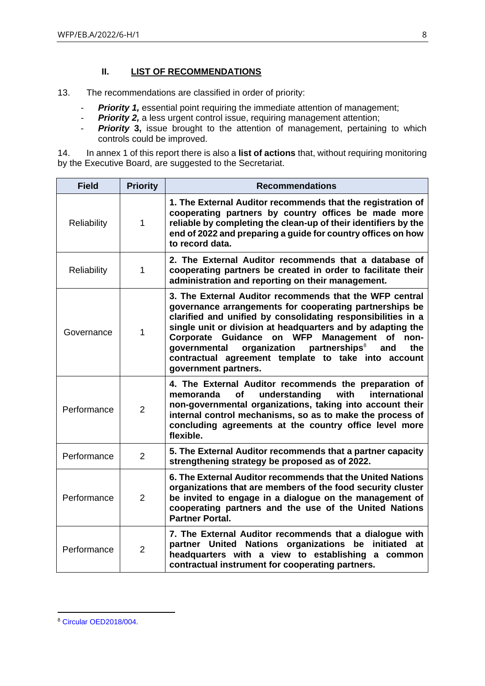# **II. LIST OF RECOMMENDATIONS**

<span id="page-7-0"></span>13. The recommendations are classified in order of priority:

- *Priority 1,* essential point requiring the immediate attention of management;
- *Priority 2,* a less urgent control issue, requiring management attention;
- *Priority* **3,** issue brought to the attention of management, pertaining to which controls could be improved.

14. In annex 1 of this report there is also a **list of actions** that, without requiring monitoring by the Executive Board, are suggested to the Secretariat.

| <b>Field</b> | <b>Priority</b> | <b>Recommendations</b>                                                                                                                                                                                                                                                                                                                                                                                                                                                             |
|--------------|-----------------|------------------------------------------------------------------------------------------------------------------------------------------------------------------------------------------------------------------------------------------------------------------------------------------------------------------------------------------------------------------------------------------------------------------------------------------------------------------------------------|
| Reliability  | 1               | 1. The External Auditor recommends that the registration of<br>cooperating partners by country offices be made more<br>reliable by completing the clean-up of their identifiers by the<br>end of 2022 and preparing a guide for country offices on how<br>to record data.                                                                                                                                                                                                          |
| Reliability  | 1               | 2. The External Auditor recommends that a database of<br>cooperating partners be created in order to facilitate their<br>administration and reporting on their management.                                                                                                                                                                                                                                                                                                         |
| Governance   | 1               | 3. The External Auditor recommends that the WFP central<br>governance arrangements for cooperating partnerships be<br>clarified and unified by consolidating responsibilities in a<br>single unit or division at headquarters and by adapting the<br>Corporate Guidance on WFP<br><b>Management</b><br>non-<br><b>of</b><br>organization<br>partnerships <sup>8</sup><br>governmental<br>and<br>the<br>contractual agreement template to take into account<br>government partners. |
| Performance  | $\overline{2}$  | 4. The External Auditor recommends the preparation of<br>understanding<br>with<br>international<br><b>of</b><br>memoranda<br>non-governmental organizations, taking into account their<br>internal control mechanisms, so as to make the process of<br>concluding agreements at the country office level more<br>flexible.                                                                                                                                                         |
| Performance  | $\overline{2}$  | 5. The External Auditor recommends that a partner capacity<br>strengthening strategy be proposed as of 2022.                                                                                                                                                                                                                                                                                                                                                                       |
| Performance  | $\overline{2}$  | 6. The External Auditor recommends that the United Nations<br>organizations that are members of the food security cluster<br>be invited to engage in a dialogue on the management of<br>cooperating partners and the use of the United Nations<br><b>Partner Portal.</b>                                                                                                                                                                                                           |
| Performance  | $\overline{2}$  | 7. The External Auditor recommends that a dialogue with<br>partner United Nations organizations be<br>initiated at<br>headquarters with a view to establishing a<br>common<br>contractual instrument for cooperating partners.                                                                                                                                                                                                                                                     |

<sup>8</sup> [Circular OED2018/004.](https://docs.wfp.org/api/documents/WFP-0000051279/download/)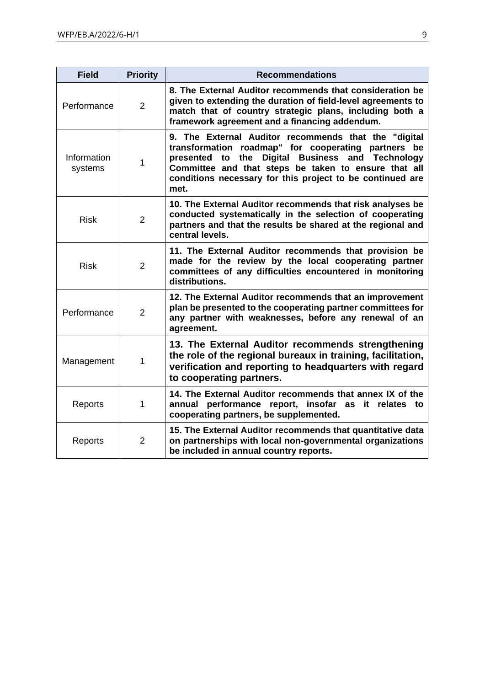| <b>Field</b>           | <b>Priority</b> | <b>Recommendations</b>                                                                                                                                                                                                                                                                                |
|------------------------|-----------------|-------------------------------------------------------------------------------------------------------------------------------------------------------------------------------------------------------------------------------------------------------------------------------------------------------|
| Performance            | $\overline{2}$  | 8. The External Auditor recommends that consideration be<br>given to extending the duration of field-level agreements to<br>match that of country strategic plans, including both a<br>framework agreement and a financing addendum.                                                                  |
| Information<br>systems | 1               | 9. The External Auditor recommends that the "digital<br>transformation roadmap" for cooperating partners be<br>Digital Business and Technology<br>the<br>presented<br>to<br>Committee and that steps be taken to ensure that all<br>conditions necessary for this project to be continued are<br>met. |
| <b>Risk</b>            | 2               | 10. The External Auditor recommends that risk analyses be<br>conducted systematically in the selection of cooperating<br>partners and that the results be shared at the regional and<br>central levels.                                                                                               |
| <b>Risk</b>            | $\overline{2}$  | 11. The External Auditor recommends that provision be<br>made for the review by the local cooperating partner<br>committees of any difficulties encountered in monitoring<br>distributions.                                                                                                           |
| Performance            | $\overline{2}$  | 12. The External Auditor recommends that an improvement<br>plan be presented to the cooperating partner committees for<br>any partner with weaknesses, before any renewal of an<br>agreement.                                                                                                         |
| Management             | 1               | 13. The External Auditor recommends strengthening<br>the role of the regional bureaux in training, facilitation,<br>verification and reporting to headquarters with regard<br>to cooperating partners.                                                                                                |
| Reports                | 1               | 14. The External Auditor recommends that annex IX of the<br>annual performance report, insofar as it relates to<br>cooperating partners, be supplemented.                                                                                                                                             |
| Reports                | 2               | 15. The External Auditor recommends that quantitative data<br>on partnerships with local non-governmental organizations<br>be included in annual country reports.                                                                                                                                     |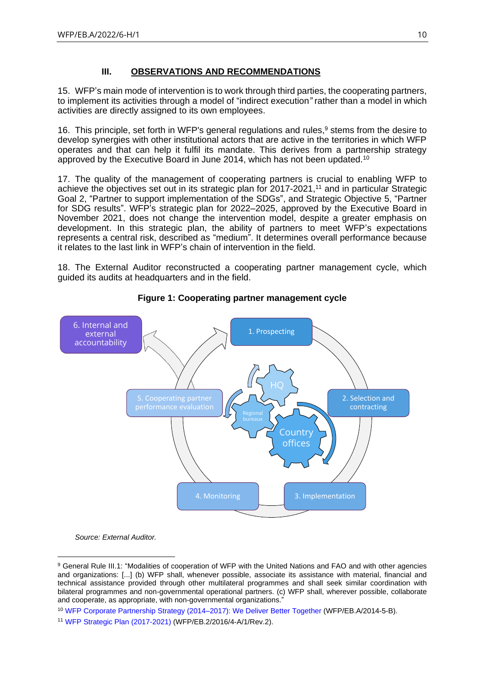# **III. OBSERVATIONS AND RECOMMENDATIONS**

<span id="page-9-0"></span>15. WFP's main mode of intervention is to work through third parties, the cooperating partners, to implement its activities through a model of "indirect execution*"* rather than a model in which activities are directly assigned to its own employees.

16. This principle, set forth in WFP's general regulations and rules, <sup>9</sup> stems from the desire to develop synergies with other institutional actors that are active in the territories in which WFP operates and that can help it fulfil its mandate. This derives from a partnership strategy approved by the Executive Board in June 2014, which has not been updated.<sup>10</sup>

17. The quality of the management of cooperating partners is crucial to enabling WFP to achieve the objectives set out in its strategic plan for 2017-2021,<sup>11</sup> and in particular Strategic Goal 2, "Partner to support implementation of the SDGs", and Strategic Objective 5, "Partner for SDG results". WFP's strategic plan for 2022–2025, approved by the Executive Board in November 2021, does not change the intervention model, despite a greater emphasis on development. In this strategic plan, the ability of partners to meet WFP's expectations represents a central risk, described as "medium". It determines overall performance because it relates to the last link in WFP's chain of intervention in the field.

18. The External Auditor reconstructed a cooperating partner management cycle, which guided its audits at headquarters and in the field.



# **Figure 1: Cooperating partner management cycle**

*Source: External Auditor.*

<sup>9</sup> General Rule III.1: "Modalities of cooperation of WFP with the United Nations and FAO and with other agencies and organizations: [...] (b) WFP shall, whenever possible, associate its assistance with material, financial and technical assistance provided through other multilateral programmes and shall seek similar coordination with bilateral programmes and non-governmental operational partners. (c) WFP shall, wherever possible, collaborate and cooperate, as appropriate, with non-governmental organizations."

<sup>10</sup> [WFP Corporate Partnership Strategy \(2014–2017\):](https://executiveboard.wfp.org/document_download/WFP-0000024715) We Deliver Better Together (WFP/EB.A/2014-5-B).

<sup>11</sup> [WFP Strategic Plan \(2017-2021\)](https://executiveboard.wfp.org/document_download/WFP-0000037196) (WFP/EB.2/2016/4-A/1/Rev.2).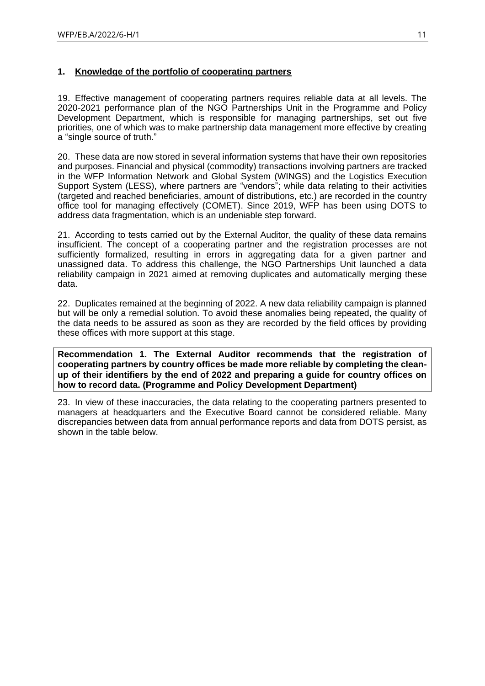# <span id="page-10-0"></span>**1. Knowledge of the portfolio of cooperating partners**

19. Effective management of cooperating partners requires reliable data at all levels. The 2020-2021 performance plan of the NGO Partnerships Unit in the Programme and Policy Development Department, which is responsible for managing partnerships, set out five priorities, one of which was to make partnership data management more effective by creating a "single source of truth."

20. These data are now stored in several information systems that have their own repositories and purposes. Financial and physical (commodity) transactions involving partners are tracked in the WFP Information Network and Global System (WINGS) and the Logistics Execution Support System (LESS), where partners are "vendors"; while data relating to their activities (targeted and reached beneficiaries, amount of distributions, etc.) are recorded in the country office tool for managing effectively (COMET). Since 2019, WFP has been using DOTS to address data fragmentation, which is an undeniable step forward.

21. According to tests carried out by the External Auditor, the quality of these data remains insufficient. The concept of a cooperating partner and the registration processes are not sufficiently formalized, resulting in errors in aggregating data for a given partner and unassigned data. To address this challenge, the NGO Partnerships Unit launched a data reliability campaign in 2021 aimed at removing duplicates and automatically merging these data.

22. Duplicates remained at the beginning of 2022. A new data reliability campaign is planned but will be only a remedial solution. To avoid these anomalies being repeated, the quality of the data needs to be assured as soon as they are recorded by the field offices by providing these offices with more support at this stage.

**Recommendation 1. The External Auditor recommends that the registration of cooperating partners by country offices be made more reliable by completing the cleanup of their identifiers by the end of 2022 and preparing a guide for country offices on how to record data. (Programme and Policy Development Department)**

23. In view of these inaccuracies, the data relating to the cooperating partners presented to managers at headquarters and the Executive Board cannot be considered reliable. Many discrepancies between data from annual performance reports and data from DOTS persist, as shown in the table below.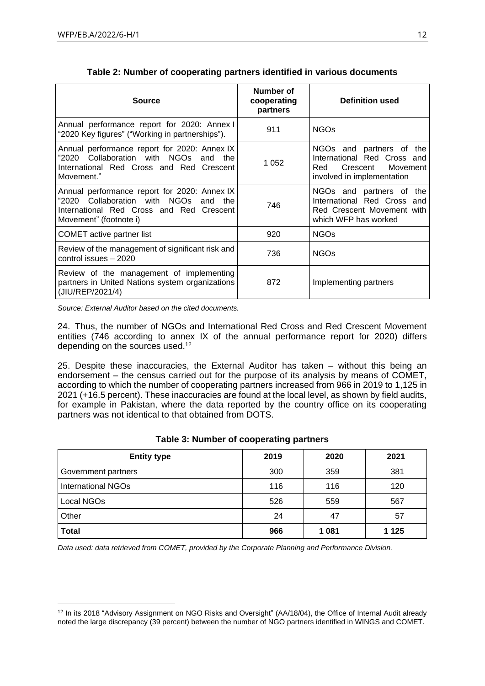| <b>Source</b>                                                                                                                                                     | Number of<br>cooperating<br>partners | Definition used                                                                                                      |
|-------------------------------------------------------------------------------------------------------------------------------------------------------------------|--------------------------------------|----------------------------------------------------------------------------------------------------------------------|
| Annual performance report for 2020: Annex I<br>"2020 Key figures" ("Working in partnerships").                                                                    | 911                                  | <b>NGOs</b>                                                                                                          |
| Annual performance report for 2020: Annex IX<br>"2020 Collaboration with NGOs and the<br>International Red Cross and Red Crescent<br>Movement."                   | 1 0 5 2                              | NGOs and partners of the<br>International Red Cross and<br>Movement<br>Crescent<br>Red<br>involved in implementation |
| Annual performance report for 2020: Annex IX<br>"2020 Collaboration with NGOs<br>the<br>and<br>International Red Cross and Red Crescent<br>Movement" (footnote i) | 746                                  | NGOs and partners of<br>the<br>International Red Cross and<br>Red Crescent Movement with<br>which WFP has worked     |
| <b>COMET</b> active partner list                                                                                                                                  | 920                                  | <b>NGOs</b>                                                                                                          |
| Review of the management of significant risk and<br>control issues - 2020                                                                                         | 736                                  | <b>NGOs</b>                                                                                                          |
| Review of the management of implementing<br>partners in United Nations system organizations<br>(JIU/REP/2021/4)                                                   | 872                                  | Implementing partners                                                                                                |

| Table 2: Number of cooperating partners identified in various documents |  |  |  |
|-------------------------------------------------------------------------|--|--|--|
|-------------------------------------------------------------------------|--|--|--|

*Source: External Auditor based on the cited documents.*

24. Thus, the number of NGOs and International Red Cross and Red Crescent Movement entities (746 according to annex IX of the annual performance report for 2020) differs depending on the sources used.<sup>12</sup>

25. Despite these inaccuracies, the External Auditor has taken – without this being an endorsement – the census carried out for the purpose of its analysis by means of COMET, according to which the number of cooperating partners increased from 966 in 2019 to 1,125 in 2021 (+16.5 percent). These inaccuracies are found at the local level, as shown by field audits, for example in Pakistan, where the data reported by the country office on its cooperating partners was not identical to that obtained from DOTS.

| <b>Entity type</b>        | 2019 | 2020    | 2021    |
|---------------------------|------|---------|---------|
| Government partners       | 300  | 359     | 381     |
| <b>International NGOs</b> | 116  | 116     | 120     |
| Local NGOs                | 526  | 559     | 567     |
| Other                     | 24   | 47      | 57      |
| Total                     | 966  | 1 0 8 1 | 1 1 2 5 |

#### **Table 3: Number of cooperating partners**

*Data used: data retrieved from COMET, provided by the Corporate Planning and Performance Division.*

<sup>&</sup>lt;sup>12</sup> In its 2018 "Advisory Assignment on NGO Risks and Oversight" (AA/18/04), the Office of Internal Audit already noted the large discrepancy (39 percent) between the number of NGO partners identified in WINGS and COMET.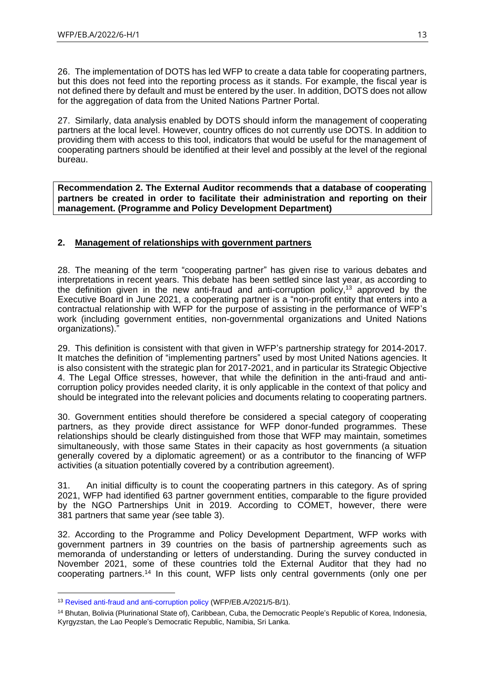26. The implementation of DOTS has led WFP to create a data table for cooperating partners, but this does not feed into the reporting process as it stands. For example, the fiscal year is not defined there by default and must be entered by the user. In addition, DOTS does not allow for the aggregation of data from the United Nations Partner Portal.

27. Similarly, data analysis enabled by DOTS should inform the management of cooperating partners at the local level. However, country offices do not currently use DOTS. In addition to providing them with access to this tool, indicators that would be useful for the management of cooperating partners should be identified at their level and possibly at the level of the regional bureau.

**Recommendation 2. The External Auditor recommends that a database of cooperating partners be created in order to facilitate their administration and reporting on their management. (Programme and Policy Development Department)**

# <span id="page-12-0"></span>**2. Management of relationships with government partners**

28. The meaning of the term "cooperating partner" has given rise to various debates and interpretations in recent years. This debate has been settled since last year, as according to the definition given in the new anti-fraud and anti-corruption policy,<sup>13</sup> approved by the Executive Board in June 2021, a cooperating partner is a "non-profit entity that enters into a contractual relationship with WFP for the purpose of assisting in the performance of WFP's work (including government entities, non-governmental organizations and United Nations organizations).

29. This definition is consistent with that given in WFP's partnership strategy for 2014-2017. It matches the definition of "implementing partners" used by most United Nations agencies. It is also consistent with the strategic plan for 2017-2021, and in particular its Strategic Objective 4. The Legal Office stresses, however, that while the definition in the anti-fraud and anticorruption policy provides needed clarity, it is only applicable in the context of that policy and should be integrated into the relevant policies and documents relating to cooperating partners.

30. Government entities should therefore be considered a special category of cooperating partners, as they provide direct assistance for WFP donor-funded programmes. These relationships should be clearly distinguished from those that WFP may maintain, sometimes simultaneously, with those same States in their capacity as host governments (a situation generally covered by a diplomatic agreement) or as a contributor to the financing of WFP activities (a situation potentially covered by a contribution agreement).

31. An initial difficulty is to count the cooperating partners in this category. As of spring 2021, WFP had identified 63 partner government entities, comparable to the figure provided by the NGO Partnerships Unit in 2019. According to COMET, however, there were 381 partners that same year *(*see table 3).

32. According to the Programme and Policy Development Department, WFP works with government partners in 39 countries on the basis of partnership agreements such as memoranda of understanding or letters of understanding. During the survey conducted in November 2021, some of these countries told the External Auditor that they had no cooperating partners.<sup>14</sup> In this count, WFP lists only central governments (only one per

<sup>13</sup> [Revised anti-fraud and anti-corruption policy](https://executiveboard.wfp.org/document_download/WFP-0000127451) (WFP/EB.A/2021/5-B/1).

<sup>&</sup>lt;sup>14</sup> Bhutan, Bolivia (Plurinational State of), Caribbean, Cuba, the Democratic People's Republic of Korea, Indonesia, Kyrgyzstan, the Lao People's Democratic Republic, Namibia, Sri Lanka.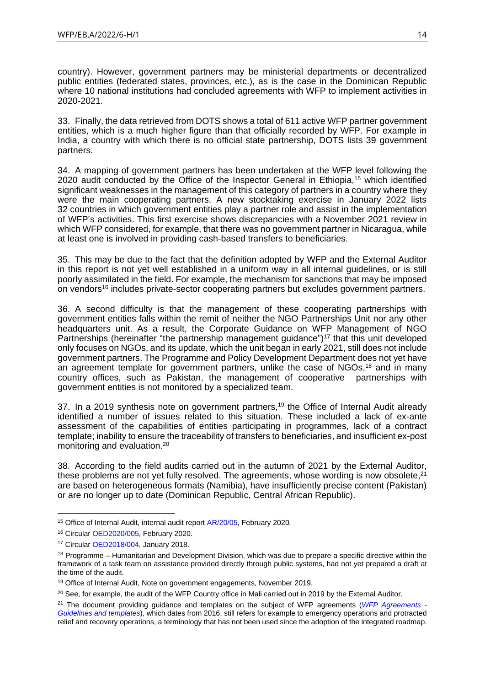country). However, government partners may be ministerial departments or decentralized public entities (federated states, provinces, etc.), as is the case in the Dominican Republic where 10 national institutions had concluded agreements with WFP to implement activities in 2020-2021.

33. Finally, the data retrieved from DOTS shows a total of 611 active WFP partner government entities, which is a much higher figure than that officially recorded by WFP. For example in India, a country with which there is no official state partnership, DOTS lists 39 government partners.

34. A mapping of government partners has been undertaken at the WFP level following the 2020 audit conducted by the Office of the Inspector General in Ethiopia,<sup>15</sup> which identified significant weaknesses in the management of this category of partners in a country where they were the main cooperating partners. A new stocktaking exercise in January 2022 lists 32 countries in which government entities play a partner role and assist in the implementation of WFP's activities. This first exercise shows discrepancies with a November 2021 review in which WFP considered, for example, that there was no government partner in Nicaragua, while at least one is involved in providing cash-based transfers to beneficiaries.

35. This may be due to the fact that the definition adopted by WFP and the External Auditor in this report is not yet well established in a uniform way in all internal guidelines, or is still poorly assimilated in the field. For example, the mechanism for sanctions that may be imposed on vendors<sup>16</sup> includes private-sector cooperating partners but excludes government partners.

36. A second difficulty is that the management of these cooperating partnerships with government entities falls within the remit of neither the NGO Partnerships Unit nor any other headquarters unit. As a result, the Corporate Guidance on WFP Management of NGO Partnerships (hereinafter "the partnership management guidance")<sup>17</sup> that this unit developed only focuses on NGOs, and its update, which the unit began in early 2021, still does not include government partners. The Programme and Policy Development Department does not yet have an agreement template for government partners, unlike the case of NGOs,<sup>18</sup> and in many country offices, such as Pakistan, the management of cooperative partnerships with government entities is not monitored by a specialized team.

37. In a 2019 synthesis note on government partners,<sup>19</sup> the Office of Internal Audit already identified a number of issues related to this situation. These included a lack of ex-ante assessment of the capabilities of entities participating in programmes, lack of a contract template; inability to ensure the traceability of transfers to beneficiaries, and insufficient ex-post monitoring and evaluation.<sup>20</sup>

38. According to the field audits carried out in the autumn of 2021 by the External Auditor, these problems are not yet fully resolved. The agreements, whose wording is now obsolete, $21$ are based on heterogeneous formats (Namibia), have insufficiently precise content (Pakistan) or are no longer up to date (Dominican Republic, Central African Republic).

<sup>15</sup> Office of Internal Audit, internal audit report [AR/20/05,](https://docs.wfp.org/api/documents/WFP-0000113320/download/?_ga=2.7183474.1970239737.1648633117-321782385.1598446008) February 2020*.*

<sup>16</sup> Circula[r OED2020/005,](https://docs.wfp.org/api/documents/WFP-0000112426/download/) February 2020.

<sup>17</sup> Circular [OED2018/004,](https://docs.wfp.org/api/documents/WFP-0000051279/download/) January 2018.

<sup>&</sup>lt;sup>18</sup> Programme – Humanitarian and Development Division, which was due to prepare a specific directive within the framework of a task team on assistance provided directly through public systems, had not yet prepared a draft at the time of the audit.

<sup>&</sup>lt;sup>19</sup> Office of Internal Audit, Note on government engagements, November 2019.

<sup>&</sup>lt;sup>20</sup> See, for example, the audit of the WFP Country office in Mali carried out in 2019 by the External Auditor.

<sup>21</sup> The document providing guidance and templates on the subject of WFP agreements (*[WFP Agreements -](http://docustore.wfp.org/stellent/groups/public/documents/partnership/wfp282490.pdf) [Guidelines and templates](http://docustore.wfp.org/stellent/groups/public/documents/partnership/wfp282490.pdf)*), which dates from 2016, still refers for example to emergency operations and protracted relief and recovery operations, a terminology that has not been used since the adoption of the integrated roadmap.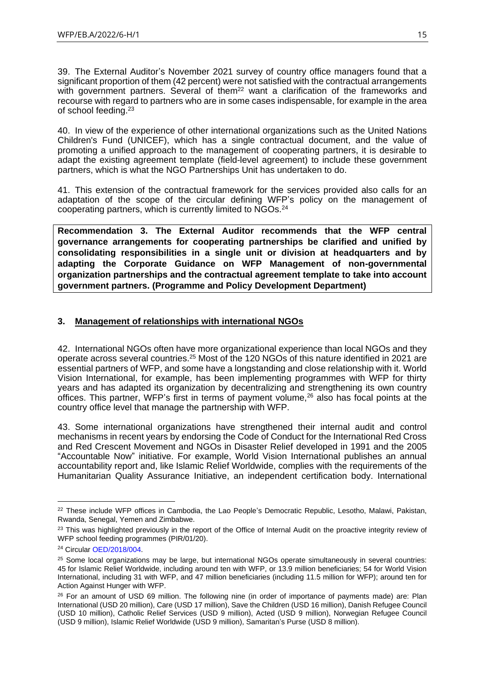39. The External Auditor's November 2021 survey of country office managers found that a significant proportion of them (42 percent) were not satisfied with the contractual arrangements with government partners. Several of them<sup>22</sup> want a clarification of the frameworks and recourse with regard to partners who are in some cases indispensable, for example in the area of school feeding.<sup>23</sup>

40. In view of the experience of other international organizations such as the United Nations Children's Fund (UNICEF), which has a single contractual document, and the value of promoting a unified approach to the management of cooperating partners, it is desirable to adapt the existing agreement template (field-level agreement) to include these government partners, which is what the NGO Partnerships Unit has undertaken to do.

41. This extension of the contractual framework for the services provided also calls for an adaptation of the scope of the circular defining WFP's policy on the management of cooperating partners, which is currently limited to NGOs.<sup>24</sup>

**Recommendation 3. The External Auditor recommends that the WFP central governance arrangements for cooperating partnerships be clarified and unified by consolidating responsibilities in a single unit or division at headquarters and by adapting the Corporate Guidance on WFP Management of non-governmental organization partnerships and the contractual agreement template to take into account government partners. (Programme and Policy Development Department)**

# <span id="page-14-0"></span>**3. Management of relationships with international NGOs**

42. International NGOs often have more organizational experience than local NGOs and they operate across several countries.<sup>25</sup> Most of the 120 NGOs of this nature identified in 2021 are essential partners of WFP, and some have a longstanding and close relationship with it. World Vision International, for example, has been implementing programmes with WFP for thirty years and has adapted its organization by decentralizing and strengthening its own country offices. This partner, WFP's first in terms of payment volume,<sup>26</sup> also has focal points at the country office level that manage the partnership with WFP.

43. Some international organizations have strengthened their internal audit and control mechanisms in recent years by endorsing the Code of Conduct for the International Red Cross and Red Crescent Movement and NGOs in Disaster Relief developed in 1991 and the 2005 "Accountable Now" initiative. For example, World Vision International publishes an annual accountability report and, like Islamic Relief Worldwide, complies with the requirements of the Humanitarian Quality Assurance Initiative, an independent certification body. International

<sup>&</sup>lt;sup>22</sup> These include WFP offices in Cambodia, the Lao People's Democratic Republic, Lesotho, Malawi, Pakistan, Rwanda, Senegal, Yemen and Zimbabwe.

<sup>&</sup>lt;sup>23</sup> This was highlighted previously in the report of the Office of Internal Audit on the proactive integrity review of WFP school feeding programmes (PIR/01/20).

<sup>24</sup> Circular [OED/2018/004.](https://docs.wfp.org/api/documents/WFP-0000071918/download/)

<sup>&</sup>lt;sup>25</sup> Some local organizations may be large, but international NGOs operate simultaneously in several countries: 45 for Islamic Relief Worldwide, including around ten with WFP, or 13.9 million beneficiaries; 54 for World Vision International, including 31 with WFP, and 47 million beneficiaries (including 11.5 million for WFP); around ten for Action Against Hunger with WFP.

<sup>&</sup>lt;sup>26</sup> For an amount of USD 69 million. The following nine (in order of importance of payments made) are: Plan International (USD 20 million), Care (USD 17 million), Save the Children (USD 16 million), Danish Refugee Council (USD 10 million), Catholic Relief Services (USD 9 million), Acted (USD 9 million), Norwegian Refugee Council (USD 9 million), Islamic Relief Worldwide (USD 9 million), Samaritan's Purse (USD 8 million).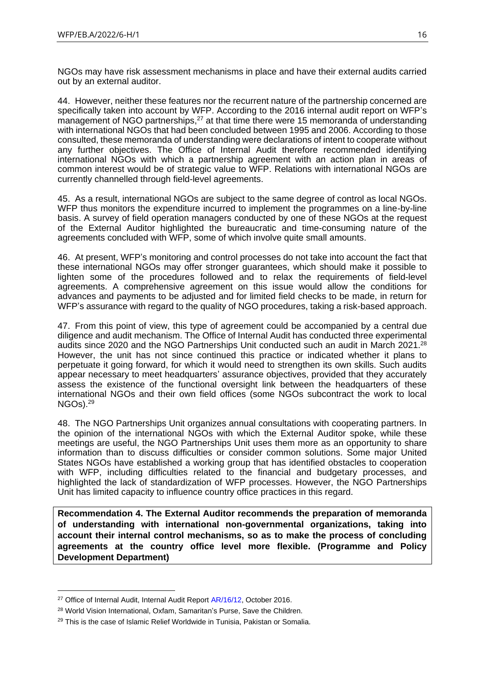NGOs may have risk assessment mechanisms in place and have their external audits carried out by an external auditor.

44. However, neither these features nor the recurrent nature of the partnership concerned are specifically taken into account by WFP. According to the 2016 internal audit report on WFP's management of NGO partnerships,<sup>27</sup> at that time there were 15 memoranda of understanding with international NGOs that had been concluded between 1995 and 2006. According to those consulted, these memoranda of understanding were declarations of intent to cooperate without any further objectives. The Office of Internal Audit therefore recommended identifying international NGOs with which a partnership agreement with an action plan in areas of common interest would be of strategic value to WFP. Relations with international NGOs are currently channelled through field-level agreements.

45. As a result, international NGOs are subject to the same degree of control as local NGOs. WFP thus monitors the expenditure incurred to implement the programmes on a line-by-line basis. A survey of field operation managers conducted by one of these NGOs at the request of the External Auditor highlighted the bureaucratic and time-consuming nature of the agreements concluded with WFP, some of which involve quite small amounts.

46. At present, WFP's monitoring and control processes do not take into account the fact that these international NGOs may offer stronger guarantees, which should make it possible to lighten some of the procedures followed and to relax the requirements of field-level agreements. A comprehensive agreement on this issue would allow the conditions for advances and payments to be adjusted and for limited field checks to be made, in return for WFP's assurance with regard to the quality of NGO procedures, taking a risk-based approach.

47. From this point of view, this type of agreement could be accompanied by a central due diligence and audit mechanism. The Office of Internal Audit has conducted three experimental audits since 2020 and the NGO Partnerships Unit conducted such an audit in March 2021.<sup>28</sup> However, the unit has not since continued this practice or indicated whether it plans to perpetuate it going forward, for which it would need to strengthen its own skills. Such audits appear necessary to meet headquarters' assurance objectives, provided that they accurately assess the existence of the functional oversight link between the headquarters of these international NGOs and their own field offices (some NGOs subcontract the work to local  $NGOs$ ). $^{29}$ 

48. The NGO Partnerships Unit organizes annual consultations with cooperating partners. In the opinion of the international NGOs with which the External Auditor spoke, while these meetings are useful, the NGO Partnerships Unit uses them more as an opportunity to share information than to discuss difficulties or consider common solutions. Some major United States NGOs have established a working group that has identified obstacles to cooperation with WFP, including difficulties related to the financial and budgetary processes, and highlighted the lack of standardization of WFP processes. However, the NGO Partnerships Unit has limited capacity to influence country office practices in this regard.

**Recommendation 4. The External Auditor recommends the preparation of memoranda of understanding with international non-governmental organizations, taking into account their internal control mechanisms, so as to make the process of concluding agreements at the country office level more flexible. (Programme and Policy Development Department)**

<sup>&</sup>lt;sup>27</sup> Office of Internal Audit, Internal Audit Report [AR/16/12,](http://documents.wfp.org/stellent/groups/public/documents/reports/wfp289030.pdf?_ga=2.200868782.1843055274.1648727496-1269553810.1631800378) October 2016.

<sup>28</sup> World Vision International, Oxfam, Samaritan's Purse, Save the Children.

<sup>&</sup>lt;sup>29</sup> This is the case of Islamic Relief Worldwide in Tunisia, Pakistan or Somalia.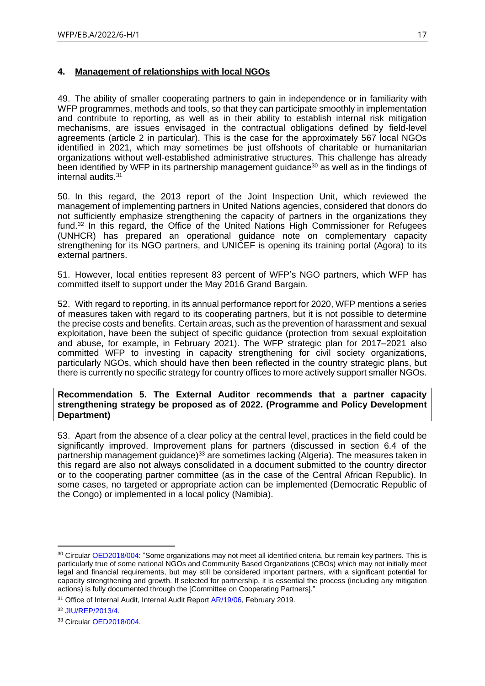# <span id="page-16-0"></span>**4. Management of relationships with local NGOs**

49. The ability of smaller cooperating partners to gain in independence or in familiarity with WFP programmes, methods and tools, so that they can participate smoothly in implementation and contribute to reporting, as well as in their ability to establish internal risk mitigation mechanisms, are issues envisaged in the contractual obligations defined by field-level agreements (article 2 in particular). This is the case for the approximately 567 local NGOs identified in 2021, which may sometimes be just offshoots of charitable or humanitarian organizations without well-established administrative structures. This challenge has already been identified by WFP in its partnership management guidance<sup>30</sup> as well as in the findings of internal audits.<sup>31</sup>

50. In this regard, the 2013 report of the Joint Inspection Unit, which reviewed the management of implementing partners in United Nations agencies, considered that donors do not sufficiently emphasize strengthening the capacity of partners in the organizations they fund.<sup>32</sup> In this regard, the Office of the United Nations High Commissioner for Refugees (UNHCR) has prepared an operational guidance note on complementary capacity strengthening for its NGO partners, and UNICEF is opening its training portal (Agora) to its external partners.

51. However, local entities represent 83 percent of WFP's NGO partners, which WFP has committed itself to support under the May 2016 Grand Bargain*.*

52. With regard to reporting, in its annual performance report for 2020, WFP mentions a series of measures taken with regard to its cooperating partners, but it is not possible to determine the precise costs and benefits. Certain areas, such as the prevention of harassment and sexual exploitation, have been the subject of specific guidance (protection from sexual exploitation and abuse, for example, in February 2021). The WFP strategic plan for 2017–2021 also committed WFP to investing in capacity strengthening for civil society organizations, particularly NGOs, which should have then been reflected in the country strategic plans, but there is currently no specific strategy for country offices to more actively support smaller NGOs.

**Recommendation 5. The External Auditor recommends that a partner capacity strengthening strategy be proposed as of 2022. (Programme and Policy Development Department)**

53. Apart from the absence of a clear policy at the central level, practices in the field could be significantly improved. Improvement plans for partners (discussed in section 6.4 of the partnership management guidance)<sup>33</sup> are sometimes lacking (Algeria). The measures taken in this regard are also not always consolidated in a document submitted to the country director or to the cooperating partner committee (as in the case of the Central African Republic). In some cases, no targeted or appropriate action can be implemented (Democratic Republic of the Congo) or implemented in a local policy (Namibia).

<sup>&</sup>lt;sup>30</sup> Circular [OED2018/004:](https://docs.wfp.org/api/documents/WFP-0000071918/download/) "Some organizations may not meet all identified criteria, but remain key partners. This is particularly true of some national NGOs and Community Based Organizations (CBOs) which may not initially meet legal and financial requirements, but may still be considered important partners, with a significant potential for capacity strengthening and growth. If selected for partnership, it is essential the process (including any mitigation actions) is fully documented through the [Committee on Cooperating Partners]."

<sup>&</sup>lt;sup>31</sup> Office of Internal Audit, Internal Audit Report [AR/19/06,](https://www.wfp.org/audit-reports/internal-audit-wfps-implementation-general-food-assistance-and-livelihood-activities) February 2019.

<sup>32</sup> [JIU/REP/2013/4.](https://documents-dds-ny.un.org/doc/UNDOC/GEN/G14/005/41/PDF/G1400541.pdf?OpenElement)

<sup>33</sup> Circular [OED2018/004.](https://docs.wfp.org/api/documents/WFP-0000071918/download/)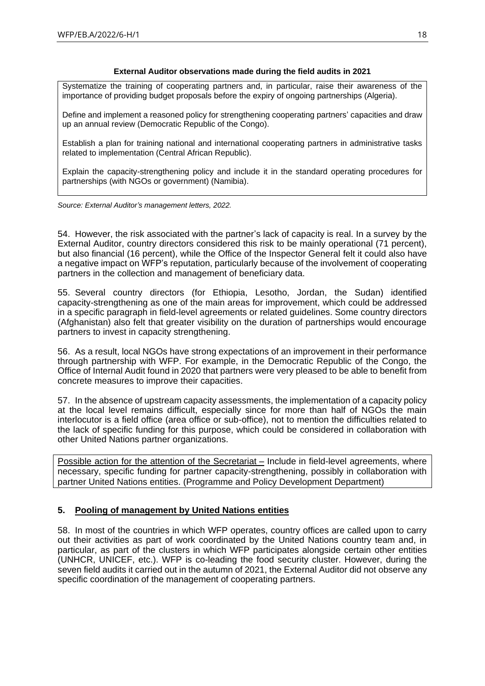#### **External Auditor observations made during the field audits in 2021**

Systematize the training of cooperating partners and, in particular, raise their awareness of the importance of providing budget proposals before the expiry of ongoing partnerships (Algeria).

Define and implement a reasoned policy for strengthening cooperating partners' capacities and draw up an annual review (Democratic Republic of the Congo).

Establish a plan for training national and international cooperating partners in administrative tasks related to implementation (Central African Republic).

Explain the capacity-strengthening policy and include it in the standard operating procedures for partnerships (with NGOs or government) (Namibia).

*Source: External Auditor's management letters, 2022.*

54. However, the risk associated with the partner's lack of capacity is real. In a survey by the External Auditor, country directors considered this risk to be mainly operational (71 percent), but also financial (16 percent), while the Office of the Inspector General felt it could also have a negative impact on WFP's reputation, particularly because of the involvement of cooperating partners in the collection and management of beneficiary data.

55. Several country directors (for Ethiopia, Lesotho, Jordan, the Sudan) identified capacity-strengthening as one of the main areas for improvement, which could be addressed in a specific paragraph in field-level agreements or related guidelines. Some country directors (Afghanistan) also felt that greater visibility on the duration of partnerships would encourage partners to invest in capacity strengthening.

56. As a result, local NGOs have strong expectations of an improvement in their performance through partnership with WFP. For example, in the Democratic Republic of the Congo, the Office of Internal Audit found in 2020 that partners were very pleased to be able to benefit from concrete measures to improve their capacities.

57. In the absence of upstream capacity assessments, the implementation of a capacity policy at the local level remains difficult, especially since for more than half of NGOs the main interlocutor is a field office (area office or sub-office), not to mention the difficulties related to the lack of specific funding for this purpose, which could be considered in collaboration with other United Nations partner organizations.

Possible action for the attention of the Secretariat – Include in field-level agreements, where necessary, specific funding for partner capacity-strengthening, possibly in collaboration with partner United Nations entities. (Programme and Policy Development Department)

# <span id="page-17-0"></span>**5. Pooling of management by United Nations entities**

58. In most of the countries in which WFP operates, country offices are called upon to carry out their activities as part of work coordinated by the United Nations country team and, in particular, as part of the clusters in which WFP participates alongside certain other entities (UNHCR, UNICEF, etc.). WFP is co-leading the food security cluster. However, during the seven field audits it carried out in the autumn of 2021, the External Auditor did not observe any specific coordination of the management of cooperating partners.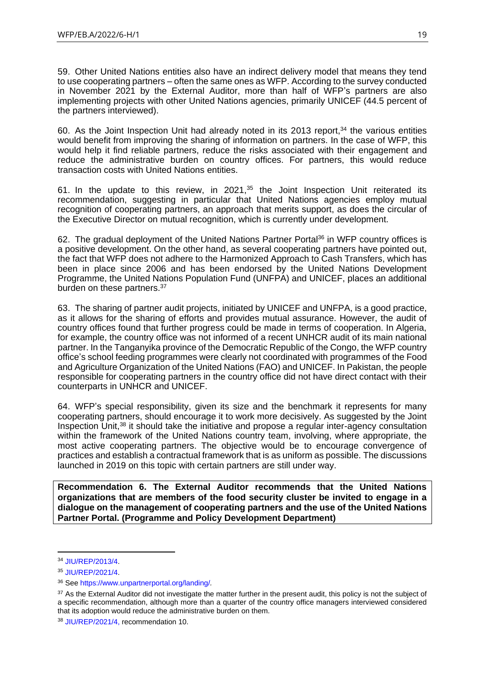59. Other United Nations entities also have an indirect delivery model that means they tend to use cooperating partners – often the same ones as WFP. According to the survey conducted in November 2021 by the External Auditor, more than half of WFP's partners are also implementing projects with other United Nations agencies, primarily UNICEF (44.5 percent of the partners interviewed).

60. As the Joint Inspection Unit had already noted in its 2013 report,<sup>34</sup> the various entities would benefit from improving the sharing of information on partners. In the case of WFP, this would help it find reliable partners, reduce the risks associated with their engagement and reduce the administrative burden on country offices. For partners, this would reduce transaction costs with United Nations entities.

61. In the update to this review, in  $2021$ ,  $35$  the Joint Inspection Unit reiterated its recommendation, suggesting in particular that United Nations agencies employ mutual recognition of cooperating partners, an approach that merits support, as does the circular of the Executive Director on mutual recognition, which is currently under development.

62. The gradual deployment of the United Nations Partner Portal<sup>36</sup> in WFP country offices is a positive development. On the other hand, as several cooperating partners have pointed out, the fact that WFP does not adhere to the Harmonized Approach to Cash Transfers, which has been in place since 2006 and has been endorsed by the United Nations Development Programme, the United Nations Population Fund (UNFPA) and UNICEF, places an additional burden on these partners.<sup>37</sup>

63. The sharing of partner audit projects, initiated by UNICEF and UNFPA, is a good practice, as it allows for the sharing of efforts and provides mutual assurance. However, the audit of country offices found that further progress could be made in terms of cooperation. In Algeria, for example, the country office was not informed of a recent UNHCR audit of its main national partner. In the Tanganyika province of the Democratic Republic of the Congo, the WFP country office's school feeding programmes were clearly not coordinated with programmes of the Food and Agriculture Organization of the United Nations (FAO) and UNICEF. In Pakistan, the people responsible for cooperating partners in the country office did not have direct contact with their counterparts in UNHCR and UNICEF.

64. WFP's special responsibility, given its size and the benchmark it represents for many cooperating partners, should encourage it to work more decisively. As suggested by the Joint Inspection Unit,<sup>38</sup> it should take the initiative and propose a regular inter-agency consultation within the framework of the United Nations country team, involving, where appropriate, the most active cooperating partners. The objective would be to encourage convergence of practices and establish a contractual framework that is as uniform as possible. The discussions launched in 2019 on this topic with certain partners are still under way.

**Recommendation 6. The External Auditor recommends that the United Nations organizations that are members of the food security cluster be invited to engage in a dialogue on the management of cooperating partners and the use of the United Nations Partner Portal. (Programme and Policy Development Department)**

<sup>34</sup> [JIU/REP/2013/4.](https://documents-dds-ny.un.org/doc/UNDOC/GEN/G14/005/41/PDF/G1400541.pdf?OpenElement)

<sup>35</sup> [JIU/REP/2021/4.](https://www.unjiu.org/sites/www.unjiu.org/files/jiu_rep_2021_4_english.pdf)

<sup>36</sup> Se[e https://www.unpartnerportal.org/landing/](https://www.unpartnerportal.org/landing/)*.*

<sup>&</sup>lt;sup>37</sup> As the External Auditor did not investigate the matter further in the present audit, this policy is not the subject of a specific recommendation, although more than a quarter of the country office managers interviewed considered that its adoption would reduce the administrative burden on them.

<sup>38</sup> [JIU/REP/2021/4,](https://www.unjiu.org/sites/www.unjiu.org/files/jiu_rep_2021_4_english.pdf) recommendation 10.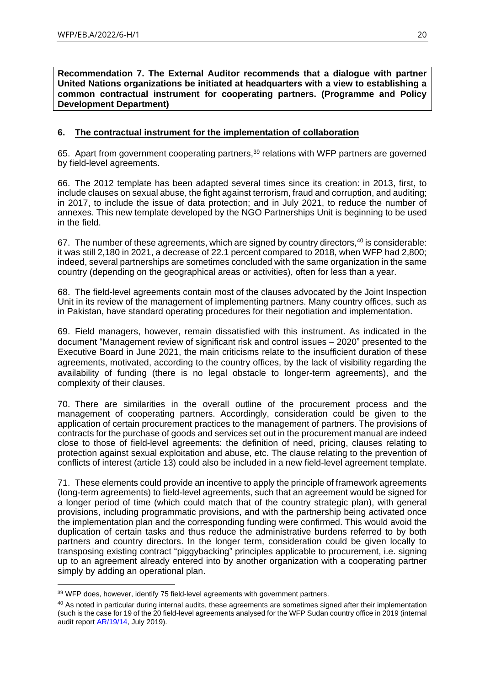**Recommendation 7. The External Auditor recommends that a dialogue with partner United Nations organizations be initiated at headquarters with a view to establishing a common contractual instrument for cooperating partners. (Programme and Policy Development Department)**

# <span id="page-19-0"></span>**6. The contractual instrument for the implementation of collaboration**

65. Apart from government cooperating partners,<sup>39</sup> relations with WFP partners are governed by field-level agreements.

66. The 2012 template has been adapted several times since its creation: in 2013, first, to include clauses on sexual abuse, the fight against terrorism, fraud and corruption, and auditing; in 2017, to include the issue of data protection; and in July 2021, to reduce the number of annexes. This new template developed by the NGO Partnerships Unit is beginning to be used in the field.

67. The number of these agreements, which are signed by country directors, 40 is considerable: it was still 2,180 in 2021, a decrease of 22.1 percent compared to 2018, when WFP had 2,800; indeed, several partnerships are sometimes concluded with the same organization in the same country (depending on the geographical areas or activities), often for less than a year.

68. The field-level agreements contain most of the clauses advocated by the Joint Inspection Unit in its review of the management of implementing partners. Many country offices, such as in Pakistan, have standard operating procedures for their negotiation and implementation.

69. Field managers, however, remain dissatisfied with this instrument. As indicated in the document "Management review of significant risk and control issues – 2020" presented to the Executive Board in June 2021, the main criticisms relate to the insufficient duration of these agreements, motivated, according to the country offices, by the lack of visibility regarding the availability of funding (there is no legal obstacle to longer-term agreements), and the complexity of their clauses.

70. There are similarities in the overall outline of the procurement process and the management of cooperating partners. Accordingly, consideration could be given to the application of certain procurement practices to the management of partners. The provisions of contracts for the purchase of goods and services set out in the procurement manual are indeed close to those of field-level agreements: the definition of need, pricing, clauses relating to protection against sexual exploitation and abuse, etc. The clause relating to the prevention of conflicts of interest (article 13) could also be included in a new field-level agreement template.

71. These elements could provide an incentive to apply the principle of framework agreements (long-term agreements) to field-level agreements, such that an agreement would be signed for a longer period of time (which could match that of the country strategic plan), with general provisions, including programmatic provisions, and with the partnership being activated once the implementation plan and the corresponding funding were confirmed. This would avoid the duplication of certain tasks and thus reduce the administrative burdens referred to by both partners and country directors. In the longer term, consideration could be given locally to transposing existing contract "piggybacking" principles applicable to procurement, i.e. signing up to an agreement already entered into by another organization with a cooperating partner simply by adding an operational plan.

<sup>&</sup>lt;sup>39</sup> WFP does, however, identify 75 field-level agreements with government partners.

<sup>&</sup>lt;sup>40</sup> As noted in particular during internal audits, these agreements are sometimes signed after their implementation (such is the case for 19 of the 20 field-level agreements analysed for the WFP Sudan country office in 2019 (internal audit report [AR/19/14,](https://www.wfp.org/audit-reports/internal-audit-wfp-operations-sudan-july-2019) July 2019).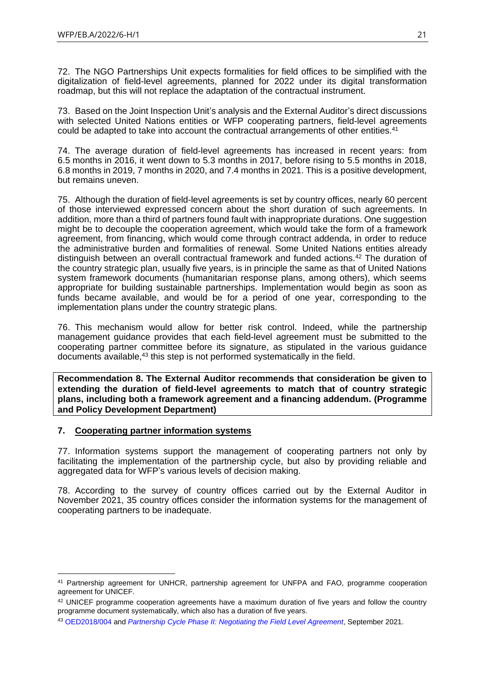72. The NGO Partnerships Unit expects formalities for field offices to be simplified with the digitalization of field-level agreements, planned for 2022 under its digital transformation roadmap, but this will not replace the adaptation of the contractual instrument.

73. Based on the Joint Inspection Unit's analysis and the External Auditor's direct discussions with selected United Nations entities or WFP cooperating partners, field-level agreements could be adapted to take into account the contractual arrangements of other entities.<sup>41</sup>

74. The average duration of field-level agreements has increased in recent years: from 6.5 months in 2016, it went down to 5.3 months in 2017, before rising to 5.5 months in 2018, 6.8 months in 2019, 7 months in 2020, and 7.4 months in 2021. This is a positive development, but remains uneven.

75. Although the duration of field-level agreements is set by country offices, nearly 60 percent of those interviewed expressed concern about the short duration of such agreements. In addition, more than a third of partners found fault with inappropriate durations. One suggestion might be to decouple the cooperation agreement, which would take the form of a framework agreement, from financing, which would come through contract addenda, in order to reduce the administrative burden and formalities of renewal. Some United Nations entities already distinguish between an overall contractual framework and funded actions.<sup>42</sup> The duration of the country strategic plan, usually five years, is in principle the same as that of United Nations system framework documents (humanitarian response plans, among others), which seems appropriate for building sustainable partnerships. Implementation would begin as soon as funds became available, and would be for a period of one year, corresponding to the implementation plans under the country strategic plans.

76. This mechanism would allow for better risk control. Indeed, while the partnership management guidance provides that each field-level agreement must be submitted to the cooperating partner committee before its signature, as stipulated in the various guidance documents available,<sup>43</sup> this step is not performed systematically in the field.

**Recommendation 8. The External Auditor recommends that consideration be given to extending the duration of field-level agreements to match that of country strategic plans, including both a framework agreement and a financing addendum. (Programme and Policy Development Department)**

#### <span id="page-20-0"></span>**7. Cooperating partner information systems**

77. Information systems support the management of cooperating partners not only by facilitating the implementation of the partnership cycle, but also by providing reliable and aggregated data for WFP's various levels of decision making.

78. According to the survey of country offices carried out by the External Auditor in November 2021, 35 country offices consider the information systems for the management of cooperating partners to be inadequate.

<sup>41</sup> Partnership agreement for UNHCR, partnership agreement for UNFPA and FAO, programme cooperation agreement for UNICEF.

<sup>&</sup>lt;sup>42</sup> UNICEF programme cooperation agreements have a maximum duration of five years and follow the country programme document systematically, which also has a duration of five years.

<sup>43</sup> [OED2018/004](https://docs.wfp.org/api/documents/WFP-0000071918/download/) and *[Partnership Cycle Phase II:](https://ngoguidance.manuals.wfp.org/en/partnership-cycle-phase-ii-negotiating-the-field-level-agreement/) [Negotiating the Field Level Agreement](https://ngoguidance.manuals.wfp.org/en/partnership-cycle-phase-ii-negotiating-the-field-level-agreement/)*, September 2021.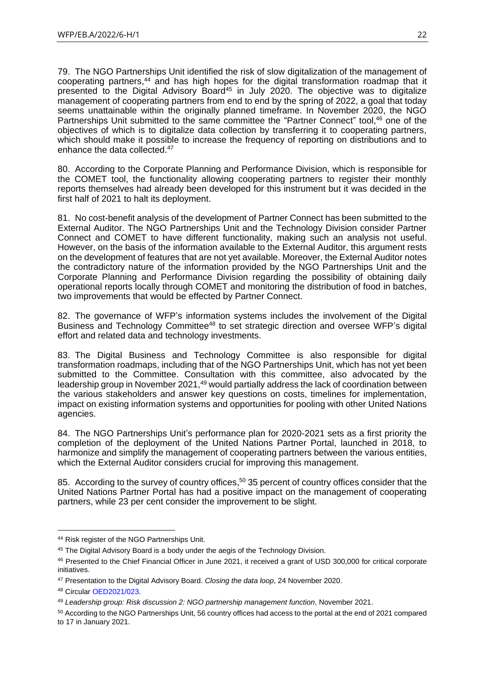79. The NGO Partnerships Unit identified the risk of slow digitalization of the management of cooperating partners,<sup>44</sup> and has high hopes for the digital transformation roadmap that it presented to the Digital Advisory Board<sup>45</sup> in July 2020. The objective was to digitalize management of cooperating partners from end to end by the spring of 2022, a goal that today seems unattainable within the originally planned timeframe. In November 2020, the NGO Partnerships Unit submitted to the same committee the "Partner Connect" tool,<sup>46</sup> one of the objectives of which is to digitalize data collection by transferring it to cooperating partners, which should make it possible to increase the frequency of reporting on distributions and to enhance the data collected.<sup>47</sup>

80. According to the Corporate Planning and Performance Division, which is responsible for the COMET tool, the functionality allowing cooperating partners to register their monthly reports themselves had already been developed for this instrument but it was decided in the first half of 2021 to halt its deployment.

81. No cost-benefit analysis of the development of Partner Connect has been submitted to the External Auditor. The NGO Partnerships Unit and the Technology Division consider Partner Connect and COMET to have different functionality, making such an analysis not useful. However, on the basis of the information available to the External Auditor, this argument rests on the development of features that are not yet available. Moreover, the External Auditor notes the contradictory nature of the information provided by the NGO Partnerships Unit and the Corporate Planning and Performance Division regarding the possibility of obtaining daily operational reports locally through COMET and monitoring the distribution of food in batches, two improvements that would be effected by Partner Connect.

82. The governance of WFP's information systems includes the involvement of the Digital Business and Technology Committee<sup>48</sup> to set strategic direction and oversee WFP's digital effort and related data and technology investments.

83. The Digital Business and Technology Committee is also responsible for digital transformation roadmaps, including that of the NGO Partnerships Unit, which has not yet been submitted to the Committee. Consultation with this committee, also advocated by the leadership group in November 2021,<sup>49</sup> would partially address the lack of coordination between the various stakeholders and answer key questions on costs, timelines for implementation, impact on existing information systems and opportunities for pooling with other United Nations agencies.

84. The NGO Partnerships Unit's performance plan for 2020-2021 sets as a first priority the completion of the deployment of the United Nations Partner Portal, launched in 2018, to harmonize and simplify the management of cooperating partners between the various entities, which the External Auditor considers crucial for improving this management.

85. According to the survey of country offices,<sup>50</sup> 35 percent of country offices consider that the United Nations Partner Portal has had a positive impact on the management of cooperating partners, while 23 per cent consider the improvement to be slight.

<sup>44</sup> Risk register of the NGO Partnerships Unit.

<sup>&</sup>lt;sup>45</sup> The Digital Advisory Board is a body under the aegis of the Technology Division.

<sup>46</sup> Presented to the Chief Financial Officer in June 2021, it received a grant of USD 300,000 for critical corporate initiatives.

<sup>47</sup> Presentation to the Digital Advisory Board. *Closing the data loop*, 24 November 2020.

<sup>48</sup> Circular [OED2021/023.](https://docs.wfp.org/api/documents/WFP-0000135299/download/)

<sup>49</sup> *Leadership group: Risk discussion 2: NGO partnership management function*, November 2021.

<sup>50</sup> According to the NGO Partnerships Unit, 56 country offices had access to the portal at the end of 2021 compared to 17 in January 2021.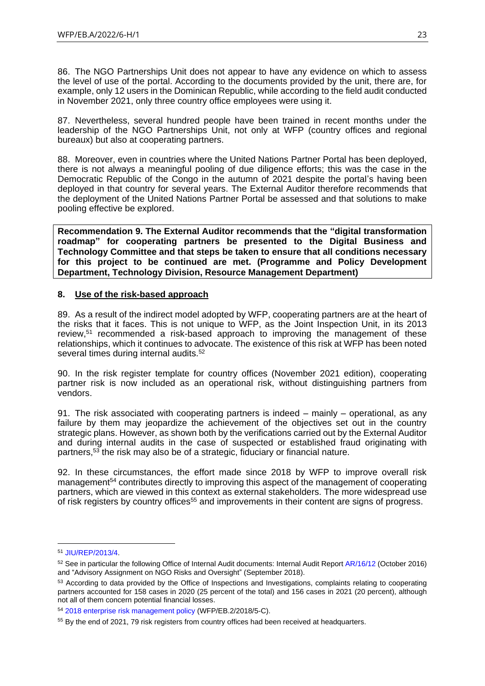86. The NGO Partnerships Unit does not appear to have any evidence on which to assess the level of use of the portal. According to the documents provided by the unit, there are, for example, only 12 users in the Dominican Republic, while according to the field audit conducted in November 2021, only three country office employees were using it.

87. Nevertheless, several hundred people have been trained in recent months under the leadership of the NGO Partnerships Unit, not only at WFP (country offices and regional bureaux) but also at cooperating partners.

88. Moreover, even in countries where the United Nations Partner Portal has been deployed, there is not always a meaningful pooling of due diligence efforts; this was the case in the Democratic Republic of the Congo in the autumn of 2021 despite the portal's having been deployed in that country for several years. The External Auditor therefore recommends that the deployment of the United Nations Partner Portal be assessed and that solutions to make pooling effective be explored.

**Recommendation 9. The External Auditor recommends that the "digital transformation roadmap" for cooperating partners be presented to the Digital Business and Technology Committee and that steps be taken to ensure that all conditions necessary for this project to be continued are met. (Programme and Policy Development Department, Technology Division, Resource Management Department)**

#### <span id="page-22-0"></span>**8. Use of the risk-based approach**

89. As a result of the indirect model adopted by WFP, cooperating partners are at the heart of the risks that it faces. This is not unique to WFP, as the Joint Inspection Unit, in its 2013 review,<sup>51</sup> recommended a risk-based approach to improving the management of these relationships, which it continues to advocate. The existence of this risk at WFP has been noted several times during internal audits.<sup>52</sup>

90. In the risk register template for country offices (November 2021 edition), cooperating partner risk is now included as an operational risk, without distinguishing partners from vendors.

91. The risk associated with cooperating partners is indeed – mainly – operational, as any failure by them may jeopardize the achievement of the objectives set out in the country strategic plans. However, as shown both by the verifications carried out by the External Auditor and during internal audits in the case of suspected or established fraud originating with partners,<sup>53</sup> the risk may also be of a strategic, fiduciary or financial nature.

92. In these circumstances, the effort made since 2018 by WFP to improve overall risk management<sup>54</sup> contributes directly to improving this aspect of the management of cooperating partners, which are viewed in this context as external stakeholders. The more widespread use of risk registers by country offices<sup>55</sup> and improvements in their content are signs of progress.

<sup>51</sup> [JIU/REP/2013/4.](https://documents-dds-ny.un.org/doc/UNDOC/GEN/G14/005/41/PDF/G1400541.pdf?OpenElement)

<sup>52</sup> See in particular the following Office of Internal Audit documents: Internal Audit Report [AR/16/12](https://www.wfp.org/audit-reports/internal-audit-wfps-management-ngo-partnerships-october-2016) (October 2016) and "Advisory Assignment on NGO Risks and Oversight" (September 2018).

<sup>&</sup>lt;sup>53</sup> According to data provided by the Office of Inspections and Investigations, complaints relating to cooperating partners accounted for 158 cases in 2020 (25 percent of the total) and 156 cases in 2021 (20 percent), although not all of them concern potential financial losses.

<sup>54</sup> [2018 enterprise risk management policy](https://executiveboard.wfp.org/document_download/WFP-0000099393) (WFP/EB.2/2018/5-C).

<sup>55</sup> By the end of 2021, 79 risk registers from country offices had been received at headquarters.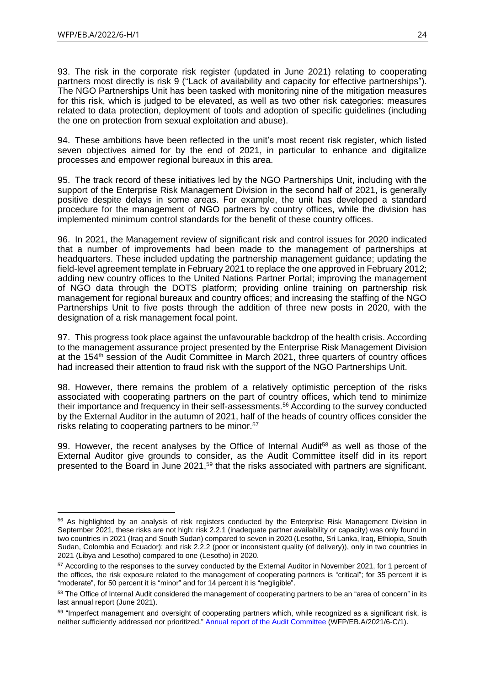93. The risk in the corporate risk register (updated in June 2021) relating to cooperating partners most directly is risk 9 ("Lack of availability and capacity for effective partnerships"). The NGO Partnerships Unit has been tasked with monitoring nine of the mitigation measures for this risk, which is judged to be elevated, as well as two other risk categories: measures related to data protection, deployment of tools and adoption of specific guidelines (including the one on protection from sexual exploitation and abuse).

94. These ambitions have been reflected in the unit's most recent risk register, which listed seven objectives aimed for by the end of 2021, in particular to enhance and digitalize processes and empower regional bureaux in this area.

95. The track record of these initiatives led by the NGO Partnerships Unit, including with the support of the Enterprise Risk Management Division in the second half of 2021, is generally positive despite delays in some areas. For example, the unit has developed a standard procedure for the management of NGO partners by country offices, while the division has implemented minimum control standards for the benefit of these country offices.

96. In 2021, the Management review of significant risk and control issues for 2020 indicated that a number of improvements had been made to the management of partnerships at headquarters. These included updating the partnership management guidance; updating the field-level agreement template in February 2021 to replace the one approved in February 2012; adding new country offices to the United Nations Partner Portal; improving the management of NGO data through the DOTS platform; providing online training on partnership risk management for regional bureaux and country offices; and increasing the staffing of the NGO Partnerships Unit to five posts through the addition of three new posts in 2020, with the designation of a risk management focal point.

97. This progress took place against the unfavourable backdrop of the health crisis. According to the management assurance project presented by the Enterprise Risk Management Division at the 154<sup>th</sup> session of the Audit Committee in March 2021, three quarters of country offices had increased their attention to fraud risk with the support of the NGO Partnerships Unit.

98. However, there remains the problem of a relatively optimistic perception of the risks associated with cooperating partners on the part of country offices, which tend to minimize their importance and frequency in their self-assessments.<sup>56</sup> According to the survey conducted by the External Auditor in the autumn of 2021, half of the heads of country offices consider the risks relating to cooperating partners to be minor.<sup>57</sup>

99. However, the recent analyses by the Office of Internal Audit<sup>58</sup> as well as those of the External Auditor give grounds to consider, as the Audit Committee itself did in its report presented to the Board in June 2021,<sup>59</sup> that the risks associated with partners are significant.

<sup>&</sup>lt;sup>56</sup> As highlighted by an analysis of risk registers conducted by the Enterprise Risk Management Division in September 2021, these risks are not high: risk 2.2.1 (inadequate partner availability or capacity) was only found in two countries in 2021 (Iraq and South Sudan) compared to seven in 2020 (Lesotho, Sri Lanka, Iraq, Ethiopia, South Sudan, Colombia and Ecuador); and risk 2.2.2 (poor or inconsistent quality (of delivery)), only in two countries in 2021 (Libya and Lesotho) compared to one (Lesotho) in 2020.

<sup>57</sup> According to the responses to the survey conducted by the External Auditor in November 2021, for 1 percent of the offices, the risk exposure related to the management of cooperating partners is "critical"; for 35 percent it is "moderate", for 50 percent it is "minor" and for 14 percent it is "negligible".

<sup>58</sup> The Office of Internal Audit considered the management of cooperating partners to be an "area of concern" in its last annual report (June 2021).

<sup>&</sup>lt;sup>59</sup> "Imperfect management and oversight of cooperating partners which, while recognized as a significant risk, is neither sufficiently addressed nor prioritized." [Annual report of the Audit Committee](https://executiveboard.wfp.org/document_download/WFP-0000127478) (WFP/EB.A/2021/6-C/1).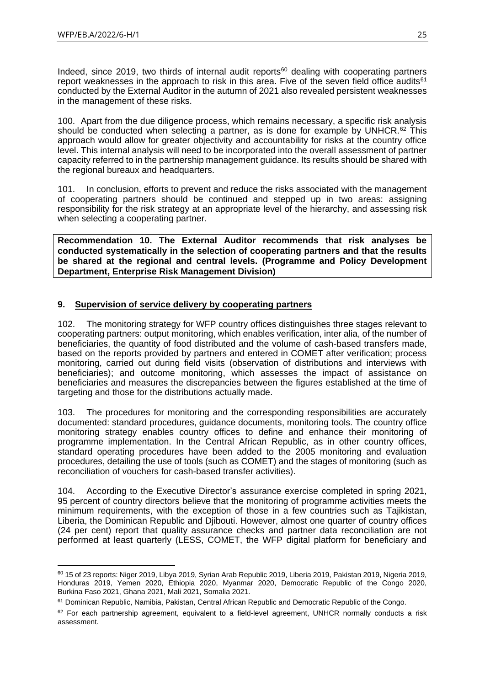Indeed, since 2019, two thirds of internal audit reports<sup>60</sup> dealing with cooperating partners report weaknesses in the approach to risk in this area. Five of the seven field office audits $61$ conducted by the External Auditor in the autumn of 2021 also revealed persistent weaknesses in the management of these risks.

100. Apart from the due diligence process, which remains necessary, a specific risk analysis should be conducted when selecting a partner, as is done for example by UNHCR.<sup>62</sup> This approach would allow for greater objectivity and accountability for risks at the country office level. This internal analysis will need to be incorporated into the overall assessment of partner capacity referred to in the partnership management guidance. Its results should be shared with the regional bureaux and headquarters.

101. In conclusion, efforts to prevent and reduce the risks associated with the management of cooperating partners should be continued and stepped up in two areas: assigning responsibility for the risk strategy at an appropriate level of the hierarchy, and assessing risk when selecting a cooperating partner.

**Recommendation 10. The External Auditor recommends that risk analyses be conducted systematically in the selection of cooperating partners and that the results be shared at the regional and central levels. (Programme and Policy Development Department, Enterprise Risk Management Division)**

# <span id="page-24-0"></span>**9. Supervision of service delivery by cooperating partners**

102. The monitoring strategy for WFP country offices distinguishes three stages relevant to cooperating partners: output monitoring, which enables verification, inter alia, of the number of beneficiaries, the quantity of food distributed and the volume of cash-based transfers made, based on the reports provided by partners and entered in COMET after verification; process monitoring, carried out during field visits (observation of distributions and interviews with beneficiaries); and outcome monitoring, which assesses the impact of assistance on beneficiaries and measures the discrepancies between the figures established at the time of targeting and those for the distributions actually made.

103. The procedures for monitoring and the corresponding responsibilities are accurately documented: standard procedures, guidance documents, monitoring tools. The country office monitoring strategy enables country offices to define and enhance their monitoring of programme implementation. In the Central African Republic, as in other country offices, standard operating procedures have been added to the 2005 monitoring and evaluation procedures, detailing the use of tools (such as COMET) and the stages of monitoring (such as reconciliation of vouchers for cash-based transfer activities).

104. According to the Executive Director's assurance exercise completed in spring 2021, 95 percent of country directors believe that the monitoring of programme activities meets the minimum requirements, with the exception of those in a few countries such as Tajikistan, Liberia, the Dominican Republic and Djibouti. However, almost one quarter of country offices (24 per cent) report that quality assurance checks and partner data reconciliation are not performed at least quarterly (LESS, COMET, the WFP digital platform for beneficiary and

<sup>60</sup> 15 of 23 reports: Niger 2019, Libya 2019, Syrian Arab Republic 2019, Liberia 2019, Pakistan 2019, Nigeria 2019, Honduras 2019, Yemen 2020, Ethiopia 2020, Myanmar 2020, Democratic Republic of the Congo 2020, Burkina Faso 2021, Ghana 2021, Mali 2021, Somalia 2021.

<sup>61</sup> Dominican Republic, Namibia, Pakistan, Central African Republic and Democratic Republic of the Congo.

 $62$  For each partnership agreement, equivalent to a field-level agreement, UNHCR normally conducts a risk assessment.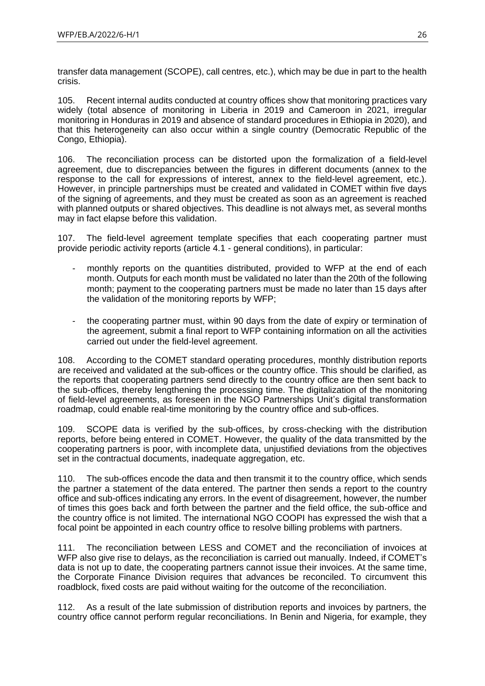transfer data management (SCOPE), call centres, etc.), which may be due in part to the health crisis.

105. Recent internal audits conducted at country offices show that monitoring practices vary widely (total absence of monitoring in Liberia in 2019 and Cameroon in 2021, irregular monitoring in Honduras in 2019 and absence of standard procedures in Ethiopia in 2020), and that this heterogeneity can also occur within a single country (Democratic Republic of the Congo, Ethiopia).

106. The reconciliation process can be distorted upon the formalization of a field-level agreement, due to discrepancies between the figures in different documents (annex to the response to the call for expressions of interest, annex to the field-level agreement, etc.). However, in principle partnerships must be created and validated in COMET within five days of the signing of agreements, and they must be created as soon as an agreement is reached with planned outputs or shared objectives. This deadline is not always met, as several months may in fact elapse before this validation.

107. The field-level agreement template specifies that each cooperating partner must provide periodic activity reports (article 4.1 - general conditions), in particular:

- monthly reports on the quantities distributed, provided to WFP at the end of each month. Outputs for each month must be validated no later than the 20th of the following month; payment to the cooperating partners must be made no later than 15 days after the validation of the monitoring reports by WFP;
- the cooperating partner must, within 90 days from the date of expiry or termination of the agreement, submit a final report to WFP containing information on all the activities carried out under the field-level agreement.

108. According to the COMET standard operating procedures, monthly distribution reports are received and validated at the sub-offices or the country office. This should be clarified, as the reports that cooperating partners send directly to the country office are then sent back to the sub-offices, thereby lengthening the processing time. The digitalization of the monitoring of field-level agreements, as foreseen in the NGO Partnerships Unit's digital transformation roadmap, could enable real-time monitoring by the country office and sub-offices.

109. SCOPE data is verified by the sub-offices, by cross-checking with the distribution reports, before being entered in COMET. However, the quality of the data transmitted by the cooperating partners is poor, with incomplete data, unjustified deviations from the objectives set in the contractual documents, inadequate aggregation, etc.

110. The sub-offices encode the data and then transmit it to the country office, which sends the partner a statement of the data entered. The partner then sends a report to the country office and sub-offices indicating any errors. In the event of disagreement, however, the number of times this goes back and forth between the partner and the field office, the sub-office and the country office is not limited. The international NGO COOPI has expressed the wish that a focal point be appointed in each country office to resolve billing problems with partners.

111. The reconciliation between LESS and COMET and the reconciliation of invoices at WFP also give rise to delays, as the reconciliation is carried out manually. Indeed, if COMET's data is not up to date, the cooperating partners cannot issue their invoices. At the same time, the Corporate Finance Division requires that advances be reconciled. To circumvent this roadblock, fixed costs are paid without waiting for the outcome of the reconciliation.

112. As a result of the late submission of distribution reports and invoices by partners, the country office cannot perform regular reconciliations. In Benin and Nigeria, for example, they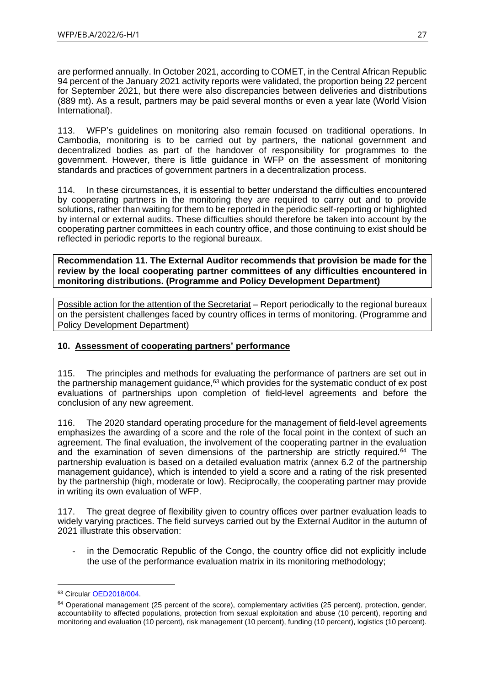are performed annually. In October 2021, according to COMET, in the Central African Republic 94 percent of the January 2021 activity reports were validated, the proportion being 22 percent for September 2021, but there were also discrepancies between deliveries and distributions (889 mt). As a result, partners may be paid several months or even a year late (World Vision International).

113. WFP's guidelines on monitoring also remain focused on traditional operations. In Cambodia, monitoring is to be carried out by partners, the national government and decentralized bodies as part of the handover of responsibility for programmes to the government. However, there is little guidance in WFP on the assessment of monitoring standards and practices of government partners in a decentralization process.

114. In these circumstances, it is essential to better understand the difficulties encountered by cooperating partners in the monitoring they are required to carry out and to provide solutions, rather than waiting for them to be reported in the periodic self-reporting or highlighted by internal or external audits. These difficulties should therefore be taken into account by the cooperating partner committees in each country office, and those continuing to exist should be reflected in periodic reports to the regional bureaux.

**Recommendation 11. The External Auditor recommends that provision be made for the review by the local cooperating partner committees of any difficulties encountered in monitoring distributions. (Programme and Policy Development Department)**

Possible action for the attention of the Secretariat – Report periodically to the regional bureaux on the persistent challenges faced by country offices in terms of monitoring. (Programme and Policy Development Department)

# <span id="page-26-0"></span>**10. Assessment of cooperating partners' performance**

115. The principles and methods for evaluating the performance of partners are set out in the partnership management guidance,<sup>63</sup> which provides for the systematic conduct of ex post evaluations of partnerships upon completion of field-level agreements and before the conclusion of any new agreement.

116. The 2020 standard operating procedure for the management of field-level agreements emphasizes the awarding of a score and the role of the focal point in the context of such an agreement. The final evaluation, the involvement of the cooperating partner in the evaluation and the examination of seven dimensions of the partnership are strictly required.<sup>64</sup> The partnership evaluation is based on a detailed evaluation matrix (annex 6.2 of the partnership management guidance), which is intended to yield a score and a rating of the risk presented by the partnership (high, moderate or low). Reciprocally, the cooperating partner may provide in writing its own evaluation of WFP.

117. The great degree of flexibility given to country offices over partner evaluation leads to widely varying practices. The field surveys carried out by the External Auditor in the autumn of 2021 illustrate this observation:

in the Democratic Republic of the Congo, the country office did not explicitly include the use of the performance evaluation matrix in its monitoring methodology;

<sup>63</sup> Circular [OED2018/004.](https://docs.wfp.org/api/documents/WFP-0000051279/download/)

<sup>&</sup>lt;sup>64</sup> Operational management (25 percent of the score), complementary activities (25 percent), protection, gender, accountability to affected populations, protection from sexual exploitation and abuse (10 percent), reporting and monitoring and evaluation (10 percent), risk management (10 percent), funding (10 percent), logistics (10 percent).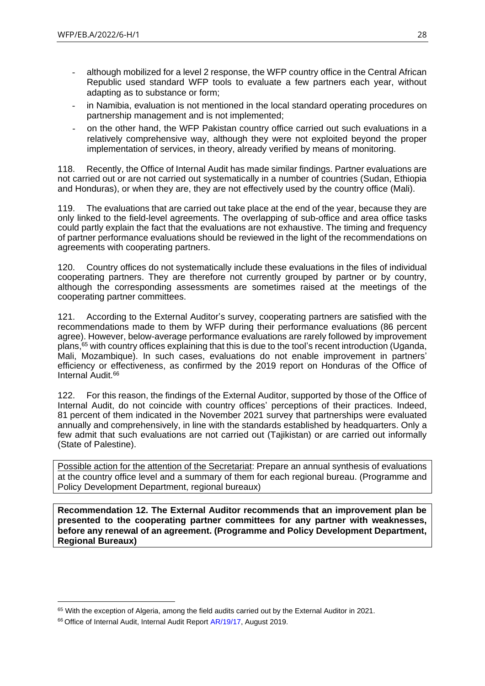- although mobilized for a level 2 response, the WFP country office in the Central African Republic used standard WFP tools to evaluate a few partners each year, without adapting as to substance or form;
- in Namibia, evaluation is not mentioned in the local standard operating procedures on partnership management and is not implemented;
- on the other hand, the WFP Pakistan country office carried out such evaluations in a relatively comprehensive way, although they were not exploited beyond the proper implementation of services, in theory, already verified by means of monitoring.

118. Recently, the Office of Internal Audit has made similar findings. Partner evaluations are not carried out or are not carried out systematically in a number of countries (Sudan, Ethiopia and Honduras), or when they are, they are not effectively used by the country office (Mali).

119. The evaluations that are carried out take place at the end of the year, because they are only linked to the field-level agreements. The overlapping of sub-office and area office tasks could partly explain the fact that the evaluations are not exhaustive. The timing and frequency of partner performance evaluations should be reviewed in the light of the recommendations on agreements with cooperating partners.

120. Country offices do not systematically include these evaluations in the files of individual cooperating partners. They are therefore not currently grouped by partner or by country, although the corresponding assessments are sometimes raised at the meetings of the cooperating partner committees.

121. According to the External Auditor's survey, cooperating partners are satisfied with the recommendations made to them by WFP during their performance evaluations (86 percent agree). However, below-average performance evaluations are rarely followed by improvement plans,<sup>65</sup> with country offices explaining that this is due to the tool's recent introduction (Uganda, Mali, Mozambique). In such cases, evaluations do not enable improvement in partners' efficiency or effectiveness, as confirmed by the 2019 report on Honduras of the Office of Internal Audit.<sup>66</sup>

122. For this reason, the findings of the External Auditor, supported by those of the Office of Internal Audit, do not coincide with country offices' perceptions of their practices. Indeed, 81 percent of them indicated in the November 2021 survey that partnerships were evaluated annually and comprehensively, in line with the standards established by headquarters. Only a few admit that such evaluations are not carried out (Tajikistan) or are carried out informally (State of Palestine).

Possible action for the attention of the Secretariat: Prepare an annual synthesis of evaluations at the country office level and a summary of them for each regional bureau. (Programme and Policy Development Department, regional bureaux)

**Recommendation 12. The External Auditor recommends that an improvement plan be presented to the cooperating partner committees for any partner with weaknesses, before any renewal of an agreement. (Programme and Policy Development Department, Regional Bureaux)**

<sup>&</sup>lt;sup>65</sup> With the exception of Algeria, among the field audits carried out by the External Auditor in 2021.

<sup>&</sup>lt;sup>66</sup> Office of Internal Audit, Internal Audit Report [AR/19/17,](https://www.wfp.org/audit-reports/internal-audit-wfp-operations-honduras-august-2019) August 2019.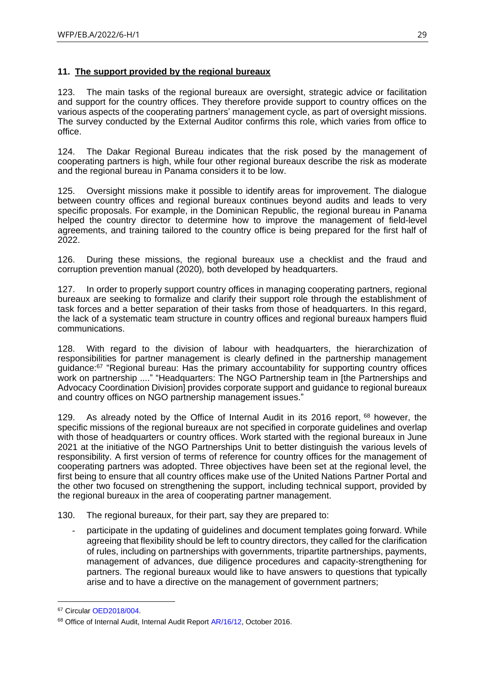# <span id="page-28-0"></span>**11. The support provided by the regional bureaux**

123. The main tasks of the regional bureaux are oversight, strategic advice or facilitation and support for the country offices. They therefore provide support to country offices on the various aspects of the cooperating partners' management cycle, as part of oversight missions. The survey conducted by the External Auditor confirms this role, which varies from office to office.

124. The Dakar Regional Bureau indicates that the risk posed by the management of cooperating partners is high, while four other regional bureaux describe the risk as moderate and the regional bureau in Panama considers it to be low.

125. Oversight missions make it possible to identify areas for improvement. The dialogue between country offices and regional bureaux continues beyond audits and leads to very specific proposals. For example, in the Dominican Republic, the regional bureau in Panama helped the country director to determine how to improve the management of field-level agreements, and training tailored to the country office is being prepared for the first half of 2022.

126. During these missions, the regional bureaux use a checklist and the fraud and corruption prevention manual (2020)*,* both developed by headquarters.

127. In order to properly support country offices in managing cooperating partners, regional bureaux are seeking to formalize and clarify their support role through the establishment of task forces and a better separation of their tasks from those of headquarters. In this regard, the lack of a systematic team structure in country offices and regional bureaux hampers fluid communications.

128. With regard to the division of labour with headquarters, the hierarchization of responsibilities for partner management is clearly defined in the partnership management guidance:<sup>67</sup> "Regional bureau: Has the primary accountability for supporting country offices work on partnership ...." "Headquarters: The NGO Partnership team in [the Partnerships and Advocacy Coordination Division] provides corporate support and guidance to regional bureaux and country offices on NGO partnership management issues."

129. As already noted by the Office of Internal Audit in its 2016 report, <sup>68</sup> however, the specific missions of the regional bureaux are not specified in corporate guidelines and overlap with those of headquarters or country offices. Work started with the regional bureaux in June 2021 at the initiative of the NGO Partnerships Unit to better distinguish the various levels of responsibility. A first version of terms of reference for country offices for the management of cooperating partners was adopted. Three objectives have been set at the regional level, the first being to ensure that all country offices make use of the United Nations Partner Portal and the other two focused on strengthening the support, including technical support, provided by the regional bureaux in the area of cooperating partner management.

130. The regional bureaux, for their part, say they are prepared to:

participate in the updating of guidelines and document templates going forward. While agreeing that flexibility should be left to country directors, they called for the clarification of rules, including on partnerships with governments, tripartite partnerships, payments, management of advances, due diligence procedures and capacity-strengthening for partners. The regional bureaux would like to have answers to questions that typically arise and to have a directive on the management of government partners;

<sup>67</sup> Circular [OED2018/004.](https://docs.wfp.org/api/documents/WFP-0000051279/download/)

<sup>&</sup>lt;sup>68</sup> Office of Internal Audit, Internal Audit Report [AR/16/12,](http://documents.wfp.org/stellent/groups/public/documents/reports/wfp289030.pdf?_ga=2.200868782.1843055274.1648727496-1269553810.1631800378) October 2016.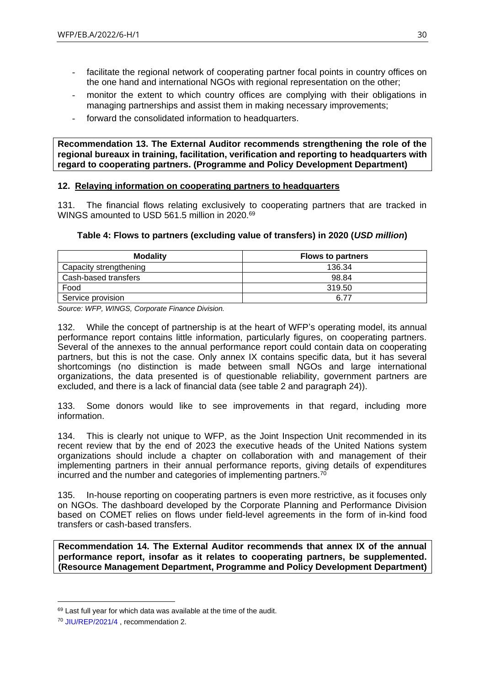- facilitate the regional network of cooperating partner focal points in country offices on the one hand and international NGOs with regional representation on the other;
- monitor the extent to which country offices are complying with their obligations in managing partnerships and assist them in making necessary improvements;
- forward the consolidated information to headquarters.

**Recommendation 13. The External Auditor recommends strengthening the role of the regional bureaux in training, facilitation, verification and reporting to headquarters with regard to cooperating partners. (Programme and Policy Development Department)**

# <span id="page-29-0"></span>**12. Relaying information on cooperating partners to headquarters**

131. The financial flows relating exclusively to cooperating partners that are tracked in WINGS amounted to USD 561.5 million in 2020.<sup>69</sup>

# **Table 4: Flows to partners (excluding value of transfers) in 2020 (***USD million***)**

| <b>Modality</b>        | <b>Flows to partners</b> |
|------------------------|--------------------------|
| Capacity strengthening | 136.34                   |
| Cash-based transfers   | 98.84                    |
| Food                   | 319.50                   |
| Service provision      | 6.77                     |

*Source: WFP, WINGS, Corporate Finance Division.*

132. While the concept of partnership is at the heart of WFP's operating model, its annual performance report contains little information, particularly figures, on cooperating partners. Several of the annexes to the annual performance report could contain data on cooperating partners, but this is not the case. Only annex IX contains specific data, but it has several shortcomings (no distinction is made between small NGOs and large international organizations, the data presented is of questionable reliability, government partners are excluded, and there is a lack of financial data (see table 2 and paragraph 24)).

133. Some donors would like to see improvements in that regard, including more information.

134. This is clearly not unique to WFP, as the Joint Inspection Unit recommended in its recent review that by the end of 2023 the executive heads of the United Nations system organizations should include a chapter on collaboration with and management of their implementing partners in their annual performance reports, giving details of expenditures incurred and the number and categories of implementing partners.<sup>70</sup>

135. In-house reporting on cooperating partners is even more restrictive, as it focuses only on NGOs. The dashboard developed by the Corporate Planning and Performance Division based on COMET relies on flows under field-level agreements in the form of in-kind food transfers or cash-based transfers.

**Recommendation 14. The External Auditor recommends that annex IX of the annual performance report, insofar as it relates to cooperating partners, be supplemented. (Resource Management Department, Programme and Policy Development Department)**

 $69$  Last full year for which data was available at the time of the audit.

<sup>70</sup> [JIU/REP/2021/4](https://www.unjiu.org/sites/www.unjiu.org/files/jiu_rep_2021_4_english.pdf) , recommendation 2.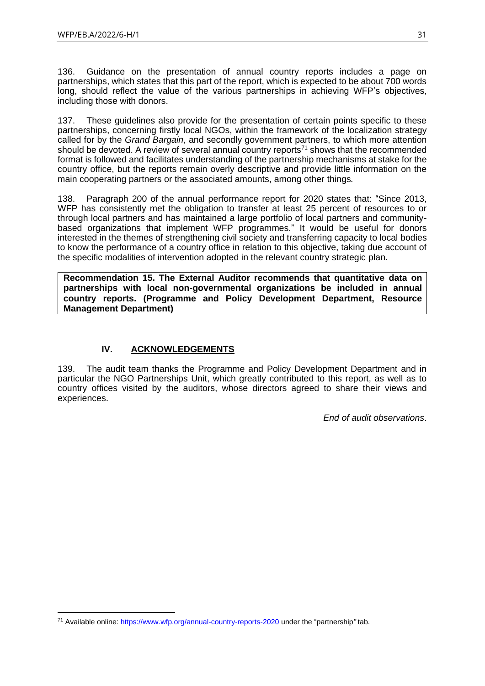136. Guidance on the presentation of annual country reports includes a page on partnerships, which states that this part of the report, which is expected to be about 700 words long, should reflect the value of the various partnerships in achieving WFP's objectives, including those with donors.

137. These guidelines also provide for the presentation of certain points specific to these partnerships, concerning firstly local NGOs, within the framework of the localization strategy called for by the *Grand Bargain*, and secondly government partners, to which more attention should be devoted. A review of several annual country reports<sup>71</sup> shows that the recommended format is followed and facilitates understanding of the partnership mechanisms at stake for the country office, but the reports remain overly descriptive and provide little information on the main cooperating partners or the associated amounts, among other things*.*

138. Paragraph 200 of the annual performance report for 2020 states that: "Since 2013, WFP has consistently met the obligation to transfer at least 25 percent of resources to or through local partners and has maintained a large portfolio of local partners and communitybased organizations that implement WFP programmes." It would be useful for donors interested in the themes of strengthening civil society and transferring capacity to local bodies to know the performance of a country office in relation to this objective, taking due account of the specific modalities of intervention adopted in the relevant country strategic plan.

**Recommendation 15. The External Auditor recommends that quantitative data on partnerships with local non-governmental organizations be included in annual country reports. (Programme and Policy Development Department, Resource Management Department)**

# **IV. ACKNOWLEDGEMENTS**

<span id="page-30-0"></span>139. The audit team thanks the Programme and Policy Development Department and in particular the NGO Partnerships Unit, which greatly contributed to this report, as well as to country offices visited by the auditors, whose directors agreed to share their views and experiences.

*End of audit observations*.

<sup>71</sup> Available online:<https://www.wfp.org/annual-country-reports-2020> under the "partnership*"* tab.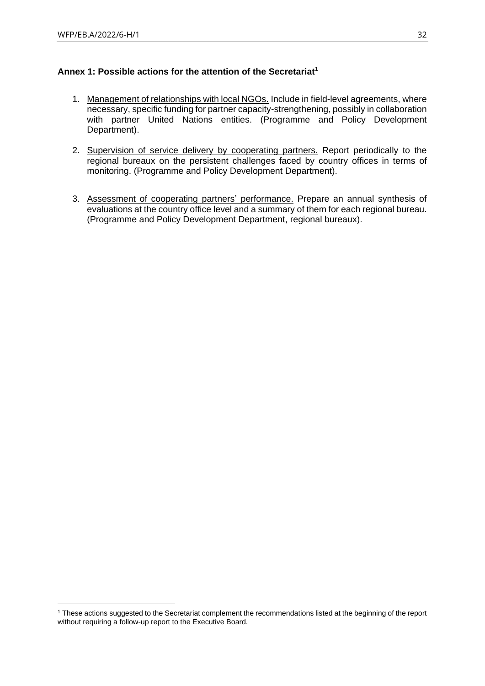# <span id="page-31-0"></span>**Annex 1: Possible actions for the attention of the Secretariat<sup>1</sup>**

- 1. Management of relationships with local NGOs. Include in field-level agreements, where necessary, specific funding for partner capacity-strengthening, possibly in collaboration with partner United Nations entities. (Programme and Policy Development Department).
- 2. Supervision of service delivery by cooperating partners. Report periodically to the regional bureaux on the persistent challenges faced by country offices in terms of monitoring. (Programme and Policy Development Department).
- 3. Assessment of cooperating partners' performance. Prepare an annual synthesis of evaluations at the country office level and a summary of them for each regional bureau. (Programme and Policy Development Department, regional bureaux).

<sup>1</sup> These actions suggested to the Secretariat complement the recommendations listed at the beginning of the report without requiring a follow-up report to the Executive Board.